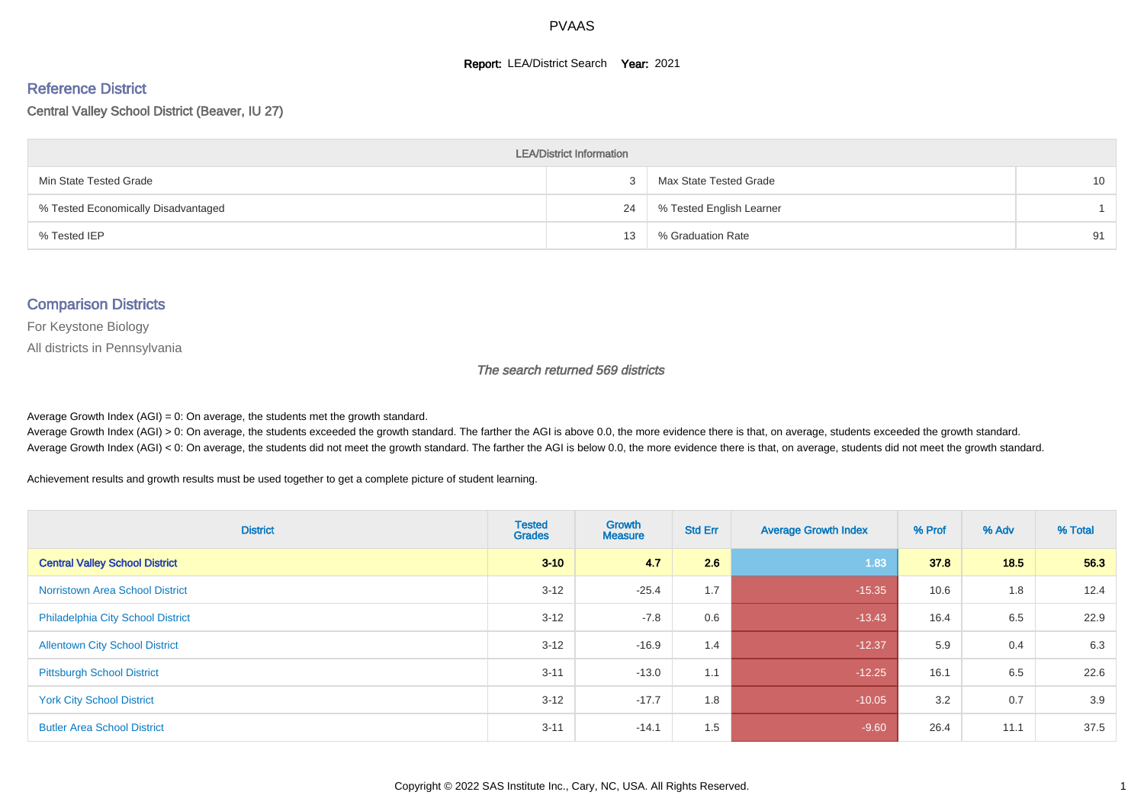#### **Report: LEA/District Search Year: 2021**

# Reference District

Central Valley School District (Beaver, IU 27)

| <b>LEA/District Information</b>     |    |                          |                 |  |  |  |  |  |  |
|-------------------------------------|----|--------------------------|-----------------|--|--|--|--|--|--|
| Min State Tested Grade              |    | Max State Tested Grade   | 10 <sup>1</sup> |  |  |  |  |  |  |
| % Tested Economically Disadvantaged | 24 | % Tested English Learner |                 |  |  |  |  |  |  |
| % Tested IEP                        | 13 | % Graduation Rate        | 91              |  |  |  |  |  |  |

#### Comparison Districts

For Keystone Biology

All districts in Pennsylvania

The search returned 569 districts

Average Growth Index  $(AGI) = 0$ : On average, the students met the growth standard.

Average Growth Index (AGI) > 0: On average, the students exceeded the growth standard. The farther the AGI is above 0.0, the more evidence there is that, on average, students exceeded the growth standard. Average Growth Index (AGI) < 0: On average, the students did not meet the growth standard. The farther the AGI is below 0.0, the more evidence there is that, on average, students did not meet the growth standard.

Achievement results and growth results must be used together to get a complete picture of student learning.

| <b>District</b>                          | <b>Tested</b><br><b>Grades</b> | Growth<br><b>Measure</b> | <b>Std Err</b> | <b>Average Growth Index</b> | % Prof | % Adv | % Total |
|------------------------------------------|--------------------------------|--------------------------|----------------|-----------------------------|--------|-------|---------|
| <b>Central Valley School District</b>    | $3 - 10$                       | 4.7                      | 2.6            | 1.83                        | 37.8   | 18.5  | 56.3    |
| <b>Norristown Area School District</b>   | $3 - 12$                       | $-25.4$                  | 1.7            | $-15.35$                    | 10.6   | 1.8   | 12.4    |
| <b>Philadelphia City School District</b> | $3 - 12$                       | $-7.8$                   | 0.6            | $-13.43$                    | 16.4   | 6.5   | 22.9    |
| <b>Allentown City School District</b>    | $3 - 12$                       | $-16.9$                  | 1.4            | $-12.37$                    | 5.9    | 0.4   | 6.3     |
| <b>Pittsburgh School District</b>        | $3 - 11$                       | $-13.0$                  | 1.1            | $-12.25$                    | 16.1   | 6.5   | 22.6    |
| <b>York City School District</b>         | $3 - 12$                       | $-17.7$                  | 1.8            | $-10.05$                    | 3.2    | 0.7   | 3.9     |
| <b>Butler Area School District</b>       | $3 - 11$                       | $-14.1$                  | 1.5            | $-9.60$                     | 26.4   | 11.1  | 37.5    |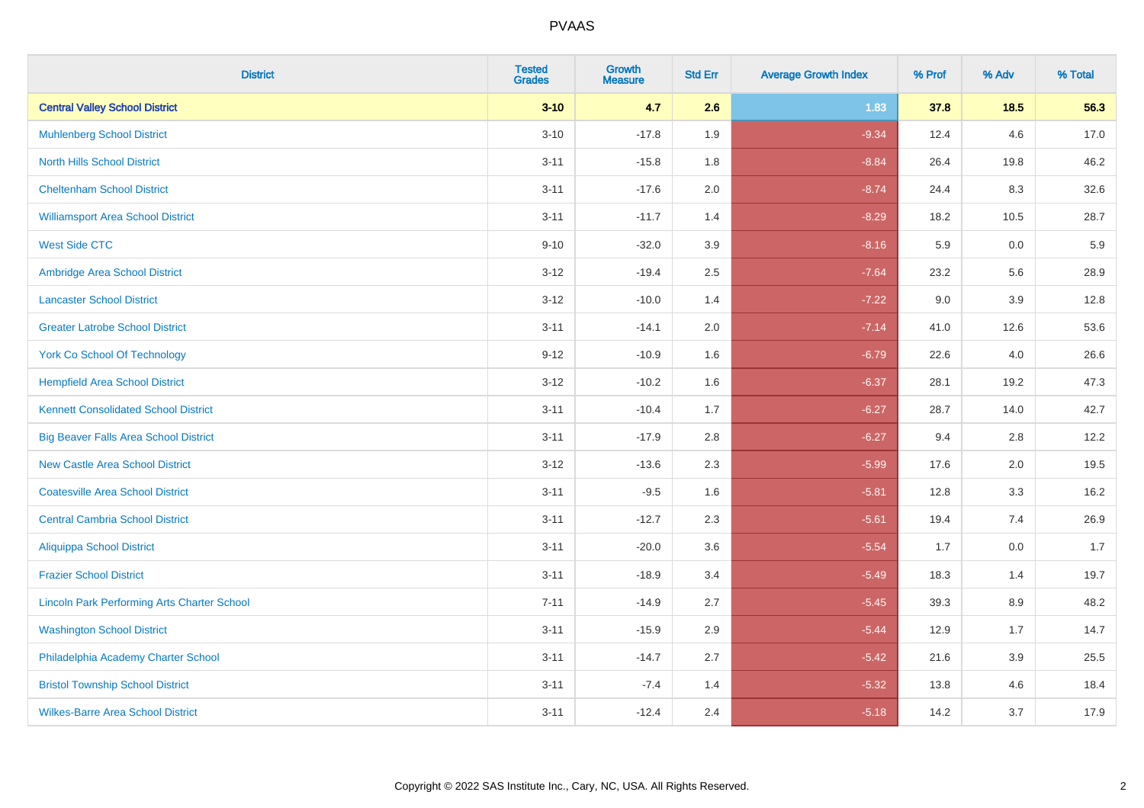| <b>District</b>                                    | <b>Tested</b><br><b>Grades</b> | Growth<br><b>Measure</b> | <b>Std Err</b> | <b>Average Growth Index</b> | % Prof | % Adv   | % Total |
|----------------------------------------------------|--------------------------------|--------------------------|----------------|-----------------------------|--------|---------|---------|
| <b>Central Valley School District</b>              | $3 - 10$                       | 4.7                      | 2.6            | 1.83                        | 37.8   | $18.5$  | 56.3    |
| <b>Muhlenberg School District</b>                  | $3 - 10$                       | $-17.8$                  | 1.9            | $-9.34$                     | 12.4   | 4.6     | 17.0    |
| <b>North Hills School District</b>                 | $3 - 11$                       | $-15.8$                  | 1.8            | $-8.84$                     | 26.4   | 19.8    | 46.2    |
| <b>Cheltenham School District</b>                  | $3 - 11$                       | $-17.6$                  | 2.0            | $-8.74$                     | 24.4   | 8.3     | 32.6    |
| <b>Williamsport Area School District</b>           | $3 - 11$                       | $-11.7$                  | 1.4            | $-8.29$                     | 18.2   | 10.5    | 28.7    |
| <b>West Side CTC</b>                               | $9 - 10$                       | $-32.0$                  | 3.9            | $-8.16$                     | 5.9    | 0.0     | 5.9     |
| Ambridge Area School District                      | $3 - 12$                       | $-19.4$                  | 2.5            | $-7.64$                     | 23.2   | 5.6     | 28.9    |
| <b>Lancaster School District</b>                   | $3 - 12$                       | $-10.0$                  | 1.4            | $-7.22$                     | 9.0    | 3.9     | 12.8    |
| <b>Greater Latrobe School District</b>             | $3 - 11$                       | $-14.1$                  | 2.0            | $-7.14$                     | 41.0   | 12.6    | 53.6    |
| <b>York Co School Of Technology</b>                | $9 - 12$                       | $-10.9$                  | 1.6            | $-6.79$                     | 22.6   | 4.0     | 26.6    |
| <b>Hempfield Area School District</b>              | $3-12$                         | $-10.2$                  | 1.6            | $-6.37$                     | 28.1   | 19.2    | 47.3    |
| <b>Kennett Consolidated School District</b>        | $3 - 11$                       | $-10.4$                  | 1.7            | $-6.27$                     | 28.7   | 14.0    | 42.7    |
| <b>Big Beaver Falls Area School District</b>       | $3 - 11$                       | $-17.9$                  | 2.8            | $-6.27$                     | 9.4    | 2.8     | 12.2    |
| <b>New Castle Area School District</b>             | $3-12$                         | $-13.6$                  | 2.3            | $-5.99$                     | 17.6   | 2.0     | 19.5    |
| <b>Coatesville Area School District</b>            | $3 - 11$                       | $-9.5$                   | 1.6            | $-5.81$                     | 12.8   | 3.3     | 16.2    |
| <b>Central Cambria School District</b>             | $3 - 11$                       | $-12.7$                  | 2.3            | $-5.61$                     | 19.4   | 7.4     | 26.9    |
| <b>Aliquippa School District</b>                   | $3 - 11$                       | $-20.0$                  | 3.6            | $-5.54$                     | 1.7    | 0.0     | 1.7     |
| <b>Frazier School District</b>                     | $3 - 11$                       | $-18.9$                  | 3.4            | $-5.49$                     | 18.3   | 1.4     | 19.7    |
| <b>Lincoln Park Performing Arts Charter School</b> | $7 - 11$                       | $-14.9$                  | 2.7            | $-5.45$                     | 39.3   | 8.9     | 48.2    |
| <b>Washington School District</b>                  | $3 - 11$                       | $-15.9$                  | 2.9            | $-5.44$                     | 12.9   | 1.7     | 14.7    |
| Philadelphia Academy Charter School                | $3 - 11$                       | $-14.7$                  | 2.7            | $-5.42$                     | 21.6   | $3.9\,$ | 25.5    |
| <b>Bristol Township School District</b>            | $3 - 11$                       | $-7.4$                   | 1.4            | $-5.32$                     | 13.8   | 4.6     | 18.4    |
| <b>Wilkes-Barre Area School District</b>           | $3 - 11$                       | $-12.4$                  | 2.4            | $-5.18$                     | 14.2   | 3.7     | 17.9    |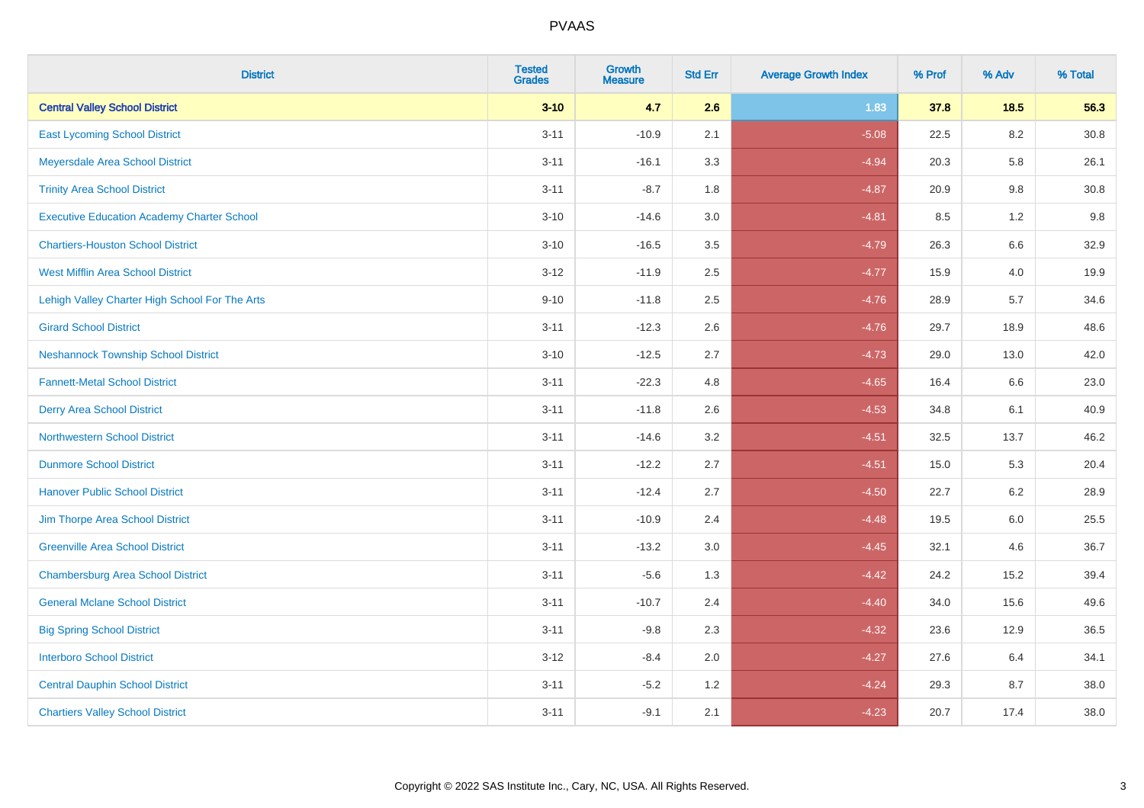| <b>District</b>                                   | <b>Tested</b><br><b>Grades</b> | <b>Growth</b><br><b>Measure</b> | <b>Std Err</b> | <b>Average Growth Index</b> | % Prof | % Adv   | % Total  |
|---------------------------------------------------|--------------------------------|---------------------------------|----------------|-----------------------------|--------|---------|----------|
| <b>Central Valley School District</b>             | $3 - 10$                       | 4.7                             | 2.6            | 1.83                        | 37.8   | 18.5    | 56.3     |
| <b>East Lycoming School District</b>              | $3 - 11$                       | $-10.9$                         | 2.1            | $-5.08$                     | 22.5   | 8.2     | $30.8\,$ |
| Meyersdale Area School District                   | $3 - 11$                       | $-16.1$                         | 3.3            | $-4.94$                     | 20.3   | 5.8     | 26.1     |
| <b>Trinity Area School District</b>               | $3 - 11$                       | $-8.7$                          | 1.8            | $-4.87$                     | 20.9   | 9.8     | 30.8     |
| <b>Executive Education Academy Charter School</b> | $3 - 10$                       | $-14.6$                         | 3.0            | $-4.81$                     | 8.5    | 1.2     | 9.8      |
| <b>Chartiers-Houston School District</b>          | $3 - 10$                       | $-16.5$                         | 3.5            | $-4.79$                     | 26.3   | 6.6     | 32.9     |
| <b>West Mifflin Area School District</b>          | $3 - 12$                       | $-11.9$                         | 2.5            | $-4.77$                     | 15.9   | 4.0     | 19.9     |
| Lehigh Valley Charter High School For The Arts    | $9 - 10$                       | $-11.8$                         | 2.5            | $-4.76$                     | 28.9   | 5.7     | 34.6     |
| <b>Girard School District</b>                     | $3 - 11$                       | $-12.3$                         | 2.6            | $-4.76$                     | 29.7   | 18.9    | 48.6     |
| <b>Neshannock Township School District</b>        | $3 - 10$                       | $-12.5$                         | 2.7            | $-4.73$                     | 29.0   | 13.0    | 42.0     |
| <b>Fannett-Metal School District</b>              | $3 - 11$                       | $-22.3$                         | 4.8            | $-4.65$                     | 16.4   | 6.6     | 23.0     |
| <b>Derry Area School District</b>                 | $3 - 11$                       | $-11.8$                         | 2.6            | $-4.53$                     | 34.8   | 6.1     | 40.9     |
| <b>Northwestern School District</b>               | $3 - 11$                       | $-14.6$                         | 3.2            | $-4.51$                     | 32.5   | 13.7    | 46.2     |
| <b>Dunmore School District</b>                    | $3 - 11$                       | $-12.2$                         | 2.7            | $-4.51$                     | 15.0   | 5.3     | 20.4     |
| <b>Hanover Public School District</b>             | $3 - 11$                       | $-12.4$                         | 2.7            | $-4.50$                     | 22.7   | 6.2     | 28.9     |
| Jim Thorpe Area School District                   | $3 - 11$                       | $-10.9$                         | 2.4            | $-4.48$                     | 19.5   | $6.0\,$ | 25.5     |
| <b>Greenville Area School District</b>            | $3 - 11$                       | $-13.2$                         | 3.0            | $-4.45$                     | 32.1   | 4.6     | 36.7     |
| <b>Chambersburg Area School District</b>          | $3 - 11$                       | $-5.6$                          | 1.3            | $-4.42$                     | 24.2   | 15.2    | 39.4     |
| <b>General Mclane School District</b>             | $3 - 11$                       | $-10.7$                         | 2.4            | $-4.40$                     | 34.0   | 15.6    | 49.6     |
| <b>Big Spring School District</b>                 | $3 - 11$                       | $-9.8$                          | 2.3            | $-4.32$                     | 23.6   | 12.9    | 36.5     |
| <b>Interboro School District</b>                  | $3 - 12$                       | $-8.4$                          | 2.0            | $-4.27$                     | 27.6   | 6.4     | 34.1     |
| <b>Central Dauphin School District</b>            | $3 - 11$                       | $-5.2$                          | 1.2            | $-4.24$                     | 29.3   | 8.7     | 38.0     |
| <b>Chartiers Valley School District</b>           | $3 - 11$                       | $-9.1$                          | 2.1            | $-4.23$                     | 20.7   | 17.4    | 38.0     |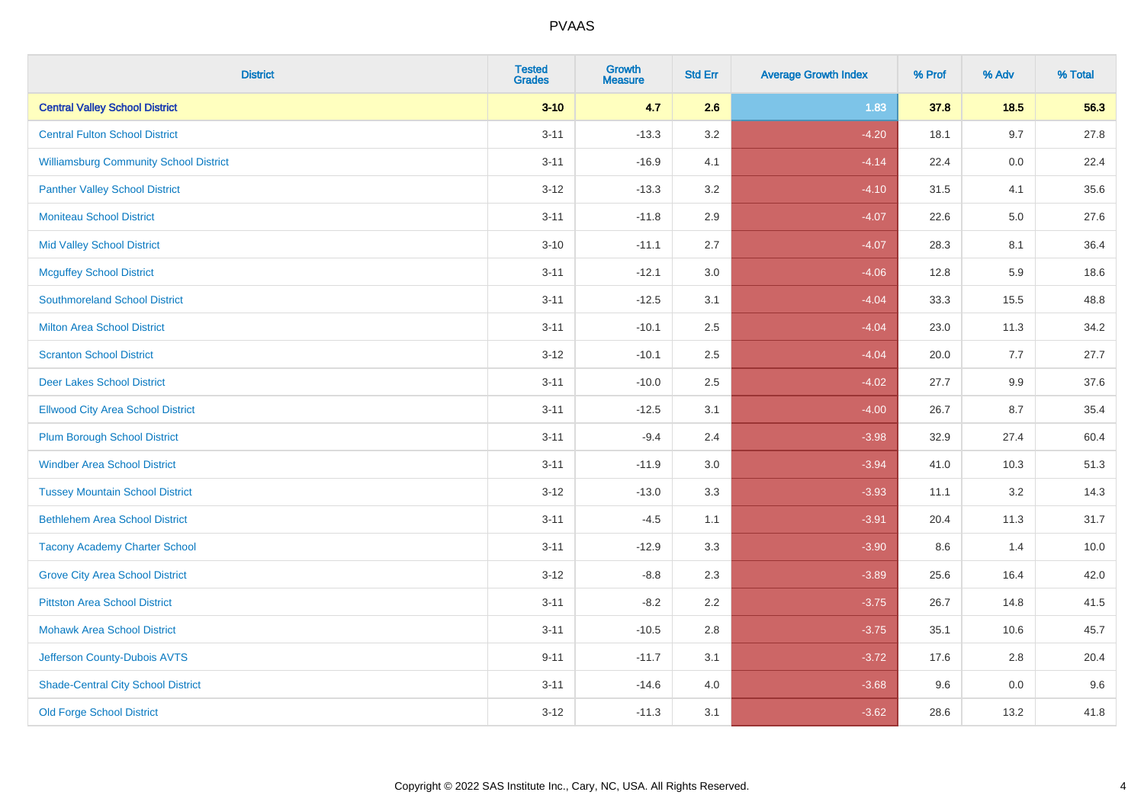| <b>District</b>                               | <b>Tested</b><br><b>Grades</b> | <b>Growth</b><br><b>Measure</b> | <b>Std Err</b> | <b>Average Growth Index</b> | % Prof | % Adv   | % Total |
|-----------------------------------------------|--------------------------------|---------------------------------|----------------|-----------------------------|--------|---------|---------|
| <b>Central Valley School District</b>         | $3 - 10$                       | 4.7                             | 2.6            | 1.83                        | 37.8   | 18.5    | 56.3    |
| <b>Central Fulton School District</b>         | $3 - 11$                       | $-13.3$                         | 3.2            | $-4.20$                     | 18.1   | 9.7     | 27.8    |
| <b>Williamsburg Community School District</b> | $3 - 11$                       | $-16.9$                         | 4.1            | $-4.14$                     | 22.4   | 0.0     | 22.4    |
| <b>Panther Valley School District</b>         | $3 - 12$                       | $-13.3$                         | 3.2            | $-4.10$                     | 31.5   | 4.1     | 35.6    |
| <b>Moniteau School District</b>               | $3 - 11$                       | $-11.8$                         | 2.9            | $-4.07$                     | 22.6   | $5.0\,$ | 27.6    |
| <b>Mid Valley School District</b>             | $3 - 10$                       | $-11.1$                         | 2.7            | $-4.07$                     | 28.3   | 8.1     | 36.4    |
| <b>Mcguffey School District</b>               | $3 - 11$                       | $-12.1$                         | 3.0            | $-4.06$                     | 12.8   | 5.9     | 18.6    |
| <b>Southmoreland School District</b>          | $3 - 11$                       | $-12.5$                         | 3.1            | $-4.04$                     | 33.3   | 15.5    | 48.8    |
| <b>Milton Area School District</b>            | $3 - 11$                       | $-10.1$                         | 2.5            | $-4.04$                     | 23.0   | 11.3    | 34.2    |
| <b>Scranton School District</b>               | $3 - 12$                       | $-10.1$                         | $2.5\,$        | $-4.04$                     | 20.0   | 7.7     | 27.7    |
| <b>Deer Lakes School District</b>             | $3 - 11$                       | $-10.0$                         | 2.5            | $-4.02$                     | 27.7   | 9.9     | 37.6    |
| <b>Ellwood City Area School District</b>      | $3 - 11$                       | $-12.5$                         | 3.1            | $-4.00$                     | 26.7   | 8.7     | 35.4    |
| <b>Plum Borough School District</b>           | $3 - 11$                       | $-9.4$                          | 2.4            | $-3.98$                     | 32.9   | 27.4    | 60.4    |
| <b>Windber Area School District</b>           | $3 - 11$                       | $-11.9$                         | 3.0            | $-3.94$                     | 41.0   | 10.3    | 51.3    |
| <b>Tussey Mountain School District</b>        | $3 - 12$                       | $-13.0$                         | 3.3            | $-3.93$                     | 11.1   | 3.2     | 14.3    |
| <b>Bethlehem Area School District</b>         | $3 - 11$                       | $-4.5$                          | 1.1            | $-3.91$                     | 20.4   | 11.3    | 31.7    |
| <b>Tacony Academy Charter School</b>          | $3 - 11$                       | $-12.9$                         | 3.3            | $-3.90$                     | 8.6    | 1.4     | 10.0    |
| <b>Grove City Area School District</b>        | $3 - 12$                       | $-8.8$                          | 2.3            | $-3.89$                     | 25.6   | 16.4    | 42.0    |
| <b>Pittston Area School District</b>          | $3 - 11$                       | $-8.2$                          | 2.2            | $-3.75$                     | 26.7   | 14.8    | 41.5    |
| <b>Mohawk Area School District</b>            | $3 - 11$                       | $-10.5$                         | 2.8            | $-3.75$                     | 35.1   | 10.6    | 45.7    |
| Jefferson County-Dubois AVTS                  | $9 - 11$                       | $-11.7$                         | 3.1            | $-3.72$                     | 17.6   | 2.8     | 20.4    |
| <b>Shade-Central City School District</b>     | $3 - 11$                       | $-14.6$                         | 4.0            | $-3.68$                     | 9.6    | $0.0\,$ | 9.6     |
| <b>Old Forge School District</b>              | $3 - 12$                       | $-11.3$                         | 3.1            | $-3.62$                     | 28.6   | 13.2    | 41.8    |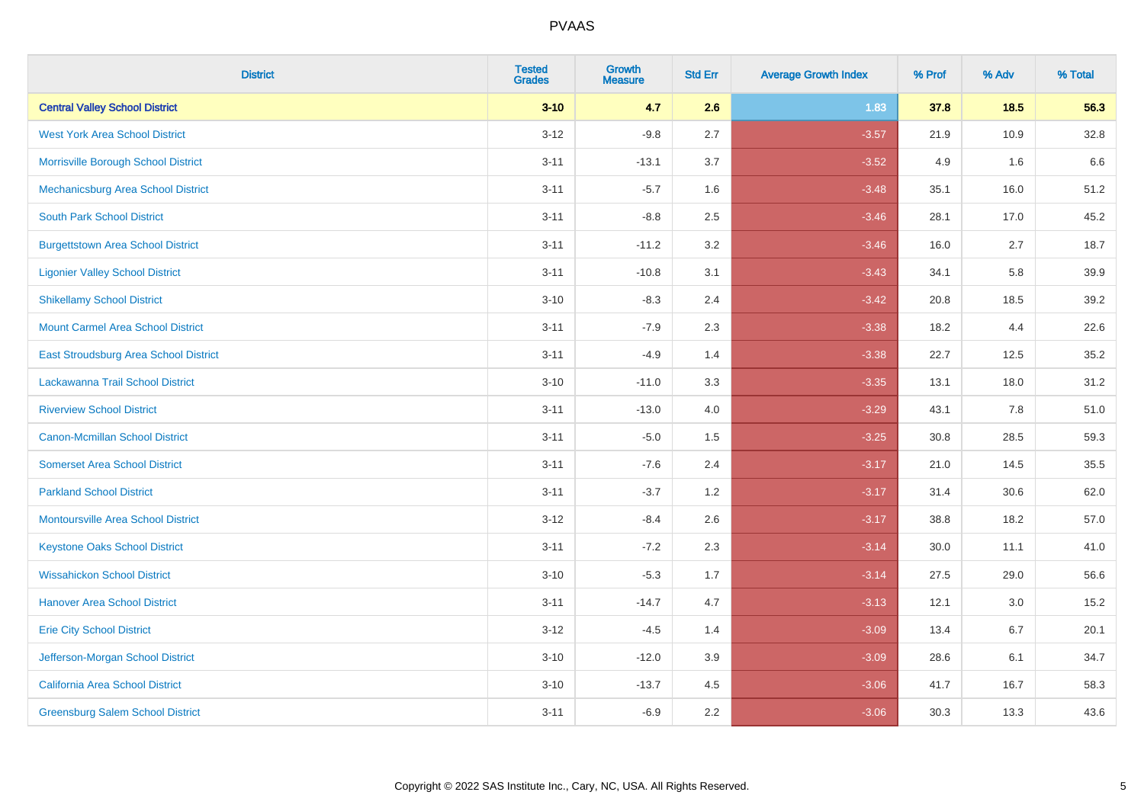| <b>District</b>                           | <b>Tested</b><br><b>Grades</b> | <b>Growth</b><br><b>Measure</b> | <b>Std Err</b> | <b>Average Growth Index</b> | % Prof | % Adv | % Total |
|-------------------------------------------|--------------------------------|---------------------------------|----------------|-----------------------------|--------|-------|---------|
| <b>Central Valley School District</b>     | $3 - 10$                       | 4.7                             | 2.6            | 1.83                        | 37.8   | 18.5  | 56.3    |
| <b>West York Area School District</b>     | $3 - 12$                       | $-9.8$                          | 2.7            | $-3.57$                     | 21.9   | 10.9  | 32.8    |
| Morrisville Borough School District       | $3 - 11$                       | $-13.1$                         | 3.7            | $-3.52$                     | 4.9    | 1.6   | 6.6     |
| Mechanicsburg Area School District        | $3 - 11$                       | $-5.7$                          | 1.6            | $-3.48$                     | 35.1   | 16.0  | 51.2    |
| <b>South Park School District</b>         | $3 - 11$                       | $-8.8$                          | 2.5            | $-3.46$                     | 28.1   | 17.0  | 45.2    |
| <b>Burgettstown Area School District</b>  | $3 - 11$                       | $-11.2$                         | 3.2            | $-3.46$                     | 16.0   | 2.7   | 18.7    |
| <b>Ligonier Valley School District</b>    | $3 - 11$                       | $-10.8$                         | 3.1            | $-3.43$                     | 34.1   | 5.8   | 39.9    |
| <b>Shikellamy School District</b>         | $3 - 10$                       | $-8.3$                          | 2.4            | $-3.42$                     | 20.8   | 18.5  | 39.2    |
| <b>Mount Carmel Area School District</b>  | $3 - 11$                       | $-7.9$                          | 2.3            | $-3.38$                     | 18.2   | 4.4   | 22.6    |
| East Stroudsburg Area School District     | $3 - 11$                       | $-4.9$                          | 1.4            | $-3.38$                     | 22.7   | 12.5  | 35.2    |
| Lackawanna Trail School District          | $3 - 10$                       | $-11.0$                         | 3.3            | $-3.35$                     | 13.1   | 18.0  | 31.2    |
| <b>Riverview School District</b>          | $3 - 11$                       | $-13.0$                         | 4.0            | $-3.29$                     | 43.1   | 7.8   | 51.0    |
| Canon-Mcmillan School District            | $3 - 11$                       | $-5.0$                          | 1.5            | $-3.25$                     | 30.8   | 28.5  | 59.3    |
| <b>Somerset Area School District</b>      | $3 - 11$                       | $-7.6$                          | 2.4            | $-3.17$                     | 21.0   | 14.5  | 35.5    |
| <b>Parkland School District</b>           | $3 - 11$                       | $-3.7$                          | 1.2            | $-3.17$                     | 31.4   | 30.6  | 62.0    |
| <b>Montoursville Area School District</b> | $3 - 12$                       | $-8.4$                          | 2.6            | $-3.17$                     | 38.8   | 18.2  | 57.0    |
| <b>Keystone Oaks School District</b>      | $3 - 11$                       | $-7.2$                          | 2.3            | $-3.14$                     | 30.0   | 11.1  | 41.0    |
| <b>Wissahickon School District</b>        | $3 - 10$                       | $-5.3$                          | 1.7            | $-3.14$                     | 27.5   | 29.0  | 56.6    |
| <b>Hanover Area School District</b>       | $3 - 11$                       | $-14.7$                         | 4.7            | $-3.13$                     | 12.1   | 3.0   | 15.2    |
| <b>Erie City School District</b>          | $3 - 12$                       | $-4.5$                          | 1.4            | $-3.09$                     | 13.4   | 6.7   | 20.1    |
| Jefferson-Morgan School District          | $3 - 10$                       | $-12.0$                         | 3.9            | $-3.09$                     | 28.6   | 6.1   | 34.7    |
| California Area School District           | $3 - 10$                       | $-13.7$                         | 4.5            | $-3.06$                     | 41.7   | 16.7  | 58.3    |
| <b>Greensburg Salem School District</b>   | $3 - 11$                       | $-6.9$                          | 2.2            | $-3.06$                     | 30.3   | 13.3  | 43.6    |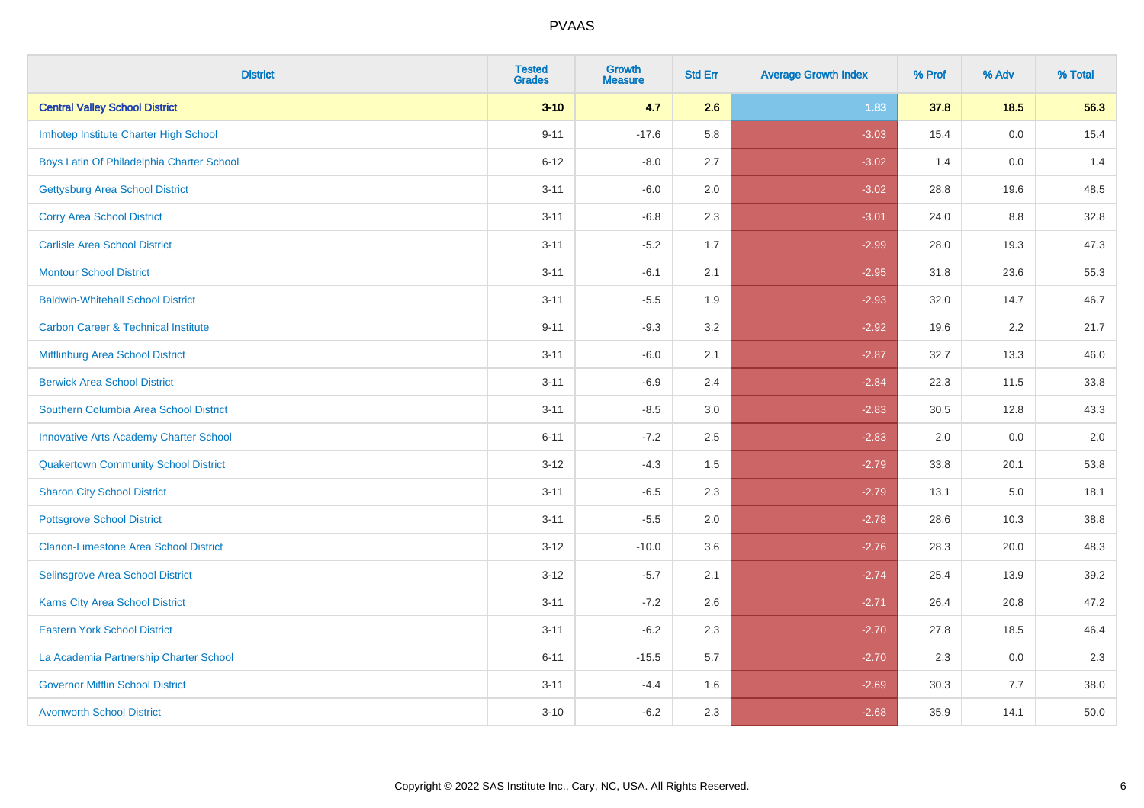| <b>District</b>                                | <b>Tested</b><br><b>Grades</b> | <b>Growth</b><br><b>Measure</b> | <b>Std Err</b> | <b>Average Growth Index</b> | % Prof | % Adv  | % Total |
|------------------------------------------------|--------------------------------|---------------------------------|----------------|-----------------------------|--------|--------|---------|
| <b>Central Valley School District</b>          | $3 - 10$                       | 4.7                             | 2.6            | 1.83                        | 37.8   | $18.5$ | 56.3    |
| Imhotep Institute Charter High School          | $9 - 11$                       | $-17.6$                         | 5.8            | $-3.03$                     | 15.4   | 0.0    | 15.4    |
| Boys Latin Of Philadelphia Charter School      | $6 - 12$                       | $-8.0$                          | 2.7            | $-3.02$                     | 1.4    | 0.0    | 1.4     |
| <b>Gettysburg Area School District</b>         | $3 - 11$                       | $-6.0$                          | 2.0            | $-3.02$                     | 28.8   | 19.6   | 48.5    |
| <b>Corry Area School District</b>              | $3 - 11$                       | $-6.8$                          | 2.3            | $-3.01$                     | 24.0   | 8.8    | 32.8    |
| <b>Carlisle Area School District</b>           | $3 - 11$                       | $-5.2$                          | 1.7            | $-2.99$                     | 28.0   | 19.3   | 47.3    |
| <b>Montour School District</b>                 | $3 - 11$                       | $-6.1$                          | 2.1            | $-2.95$                     | 31.8   | 23.6   | 55.3    |
| <b>Baldwin-Whitehall School District</b>       | $3 - 11$                       | $-5.5$                          | 1.9            | $-2.93$                     | 32.0   | 14.7   | 46.7    |
| <b>Carbon Career &amp; Technical Institute</b> | $9 - 11$                       | $-9.3$                          | 3.2            | $-2.92$                     | 19.6   | 2.2    | 21.7    |
| <b>Mifflinburg Area School District</b>        | $3 - 11$                       | $-6.0$                          | 2.1            | $-2.87$                     | 32.7   | 13.3   | 46.0    |
| <b>Berwick Area School District</b>            | $3 - 11$                       | $-6.9$                          | 2.4            | $-2.84$                     | 22.3   | 11.5   | 33.8    |
| Southern Columbia Area School District         | $3 - 11$                       | $-8.5$                          | 3.0            | $-2.83$                     | 30.5   | 12.8   | 43.3    |
| <b>Innovative Arts Academy Charter School</b>  | $6 - 11$                       | $-7.2$                          | 2.5            | $-2.83$                     | 2.0    | 0.0    | $2.0\,$ |
| <b>Quakertown Community School District</b>    | $3 - 12$                       | $-4.3$                          | $1.5\,$        | $-2.79$                     | 33.8   | 20.1   | 53.8    |
| <b>Sharon City School District</b>             | $3 - 11$                       | $-6.5$                          | 2.3            | $-2.79$                     | 13.1   | 5.0    | 18.1    |
| <b>Pottsgrove School District</b>              | $3 - 11$                       | $-5.5$                          | 2.0            | $-2.78$                     | 28.6   | 10.3   | 38.8    |
| <b>Clarion-Limestone Area School District</b>  | $3 - 12$                       | $-10.0$                         | 3.6            | $-2.76$                     | 28.3   | 20.0   | 48.3    |
| Selinsgrove Area School District               | $3 - 12$                       | $-5.7$                          | 2.1            | $-2.74$                     | 25.4   | 13.9   | 39.2    |
| <b>Karns City Area School District</b>         | $3 - 11$                       | $-7.2$                          | 2.6            | $-2.71$                     | 26.4   | 20.8   | 47.2    |
| <b>Eastern York School District</b>            | $3 - 11$                       | $-6.2$                          | 2.3            | $-2.70$                     | 27.8   | 18.5   | 46.4    |
| La Academia Partnership Charter School         | $6 - 11$                       | $-15.5$                         | 5.7            | $-2.70$                     | 2.3    | 0.0    | 2.3     |
| <b>Governor Mifflin School District</b>        | $3 - 11$                       | $-4.4$                          | 1.6            | $-2.69$                     | 30.3   | 7.7    | 38.0    |
| <b>Avonworth School District</b>               | $3 - 10$                       | $-6.2$                          | 2.3            | $-2.68$                     | 35.9   | 14.1   | 50.0    |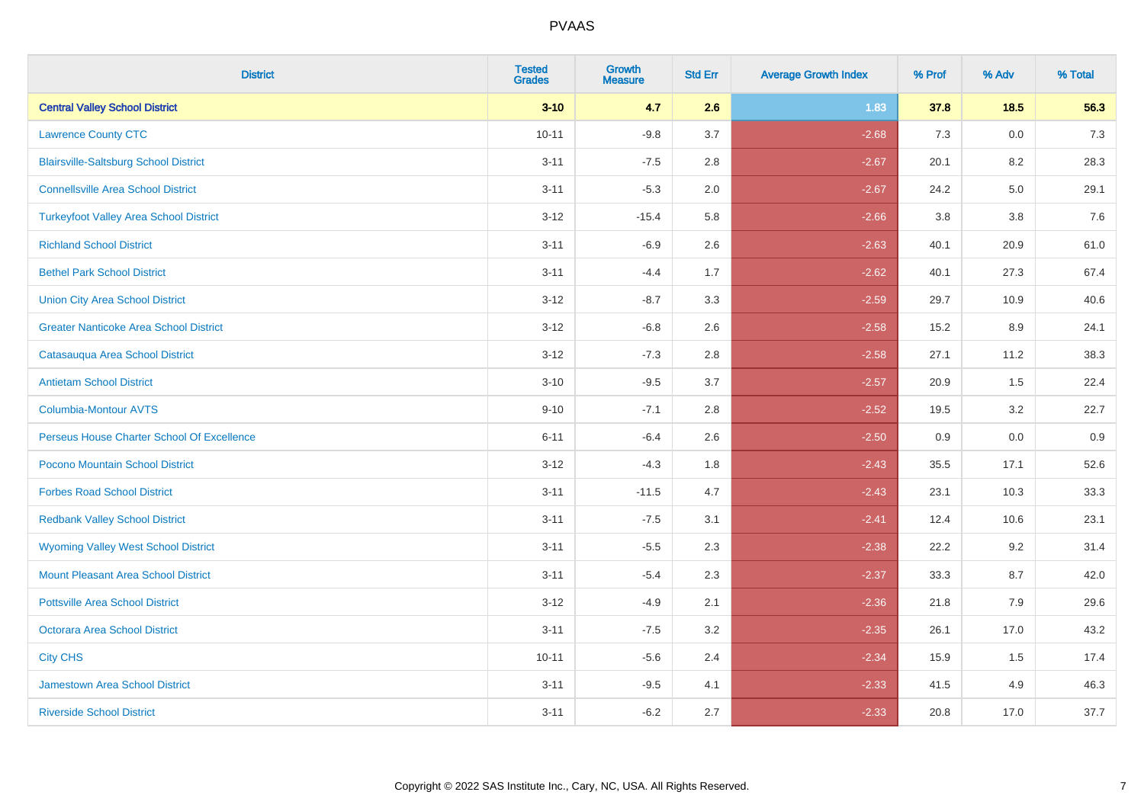| <b>District</b>                               | <b>Tested</b><br><b>Grades</b> | <b>Growth</b><br><b>Measure</b> | <b>Std Err</b> | <b>Average Growth Index</b> | % Prof | % Adv | % Total |
|-----------------------------------------------|--------------------------------|---------------------------------|----------------|-----------------------------|--------|-------|---------|
| <b>Central Valley School District</b>         | $3 - 10$                       | 4.7                             | 2.6            | 1.83                        | 37.8   | 18.5  | 56.3    |
| <b>Lawrence County CTC</b>                    | $10 - 11$                      | $-9.8$                          | 3.7            | $-2.68$                     | 7.3    | 0.0   | $7.3$   |
| <b>Blairsville-Saltsburg School District</b>  | $3 - 11$                       | $-7.5$                          | 2.8            | $-2.67$                     | 20.1   | 8.2   | 28.3    |
| <b>Connellsville Area School District</b>     | $3 - 11$                       | $-5.3$                          | 2.0            | $-2.67$                     | 24.2   | 5.0   | 29.1    |
| <b>Turkeyfoot Valley Area School District</b> | $3 - 12$                       | $-15.4$                         | 5.8            | $-2.66$                     | 3.8    | 3.8   | 7.6     |
| <b>Richland School District</b>               | $3 - 11$                       | $-6.9$                          | 2.6            | $-2.63$                     | 40.1   | 20.9  | 61.0    |
| <b>Bethel Park School District</b>            | $3 - 11$                       | $-4.4$                          | 1.7            | $-2.62$                     | 40.1   | 27.3  | 67.4    |
| <b>Union City Area School District</b>        | $3 - 12$                       | $-8.7$                          | 3.3            | $-2.59$                     | 29.7   | 10.9  | 40.6    |
| <b>Greater Nanticoke Area School District</b> | $3 - 12$                       | $-6.8$                          | 2.6            | $-2.58$                     | 15.2   | 8.9   | 24.1    |
| Catasauqua Area School District               | $3 - 12$                       | $-7.3$                          | 2.8            | $-2.58$                     | 27.1   | 11.2  | 38.3    |
| <b>Antietam School District</b>               | $3 - 10$                       | $-9.5$                          | 3.7            | $-2.57$                     | 20.9   | 1.5   | 22.4    |
| Columbia-Montour AVTS                         | $9 - 10$                       | $-7.1$                          | 2.8            | $-2.52$                     | 19.5   | 3.2   | 22.7    |
| Perseus House Charter School Of Excellence    | $6 - 11$                       | $-6.4$                          | 2.6            | $-2.50$                     | 0.9    | 0.0   | 0.9     |
| Pocono Mountain School District               | $3 - 12$                       | $-4.3$                          | 1.8            | $-2.43$                     | 35.5   | 17.1  | 52.6    |
| <b>Forbes Road School District</b>            | $3 - 11$                       | $-11.5$                         | 4.7            | $-2.43$                     | 23.1   | 10.3  | 33.3    |
| <b>Redbank Valley School District</b>         | $3 - 11$                       | $-7.5$                          | 3.1            | $-2.41$                     | 12.4   | 10.6  | 23.1    |
| <b>Wyoming Valley West School District</b>    | $3 - 11$                       | $-5.5$                          | 2.3            | $-2.38$                     | 22.2   | 9.2   | 31.4    |
| Mount Pleasant Area School District           | $3 - 11$                       | $-5.4$                          | 2.3            | $-2.37$                     | 33.3   | 8.7   | 42.0    |
| <b>Pottsville Area School District</b>        | $3 - 12$                       | $-4.9$                          | 2.1            | $-2.36$                     | 21.8   | 7.9   | 29.6    |
| Octorara Area School District                 | $3 - 11$                       | $-7.5$                          | 3.2            | $-2.35$                     | 26.1   | 17.0  | 43.2    |
| <b>City CHS</b>                               | $10 - 11$                      | $-5.6$                          | 2.4            | $-2.34$                     | 15.9   | 1.5   | 17.4    |
| <b>Jamestown Area School District</b>         | $3 - 11$                       | $-9.5$                          | 4.1            | $-2.33$                     | 41.5   | 4.9   | 46.3    |
| <b>Riverside School District</b>              | $3 - 11$                       | $-6.2$                          | 2.7            | $-2.33$                     | 20.8   | 17.0  | 37.7    |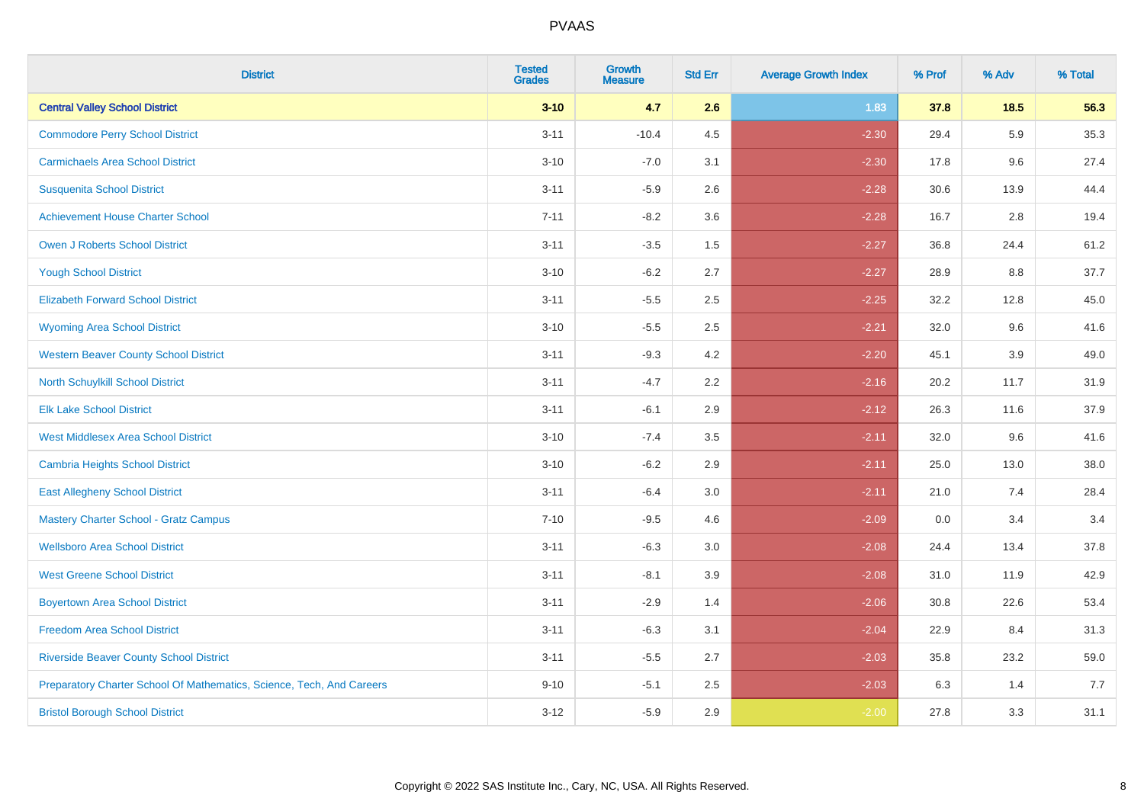| <b>District</b>                                                       | <b>Tested</b><br><b>Grades</b> | <b>Growth</b><br><b>Measure</b> | <b>Std Err</b> | <b>Average Growth Index</b> | % Prof | % Adv | % Total |
|-----------------------------------------------------------------------|--------------------------------|---------------------------------|----------------|-----------------------------|--------|-------|---------|
| <b>Central Valley School District</b>                                 | $3 - 10$                       | 4.7                             | 2.6            | 1.83                        | 37.8   | 18.5  | 56.3    |
| <b>Commodore Perry School District</b>                                | $3 - 11$                       | $-10.4$                         | 4.5            | $-2.30$                     | 29.4   | 5.9   | 35.3    |
| <b>Carmichaels Area School District</b>                               | $3 - 10$                       | $-7.0$                          | 3.1            | $-2.30$                     | 17.8   | 9.6   | 27.4    |
| <b>Susquenita School District</b>                                     | $3 - 11$                       | $-5.9$                          | 2.6            | $-2.28$                     | 30.6   | 13.9  | 44.4    |
| <b>Achievement House Charter School</b>                               | $7 - 11$                       | $-8.2$                          | 3.6            | $-2.28$                     | 16.7   | 2.8   | 19.4    |
| <b>Owen J Roberts School District</b>                                 | $3 - 11$                       | $-3.5$                          | 1.5            | $-2.27$                     | 36.8   | 24.4  | 61.2    |
| <b>Yough School District</b>                                          | $3 - 10$                       | $-6.2$                          | 2.7            | $-2.27$                     | 28.9   | 8.8   | 37.7    |
| <b>Elizabeth Forward School District</b>                              | $3 - 11$                       | $-5.5$                          | 2.5            | $-2.25$                     | 32.2   | 12.8  | 45.0    |
| <b>Wyoming Area School District</b>                                   | $3 - 10$                       | $-5.5$                          | 2.5            | $-2.21$                     | 32.0   | 9.6   | 41.6    |
| <b>Western Beaver County School District</b>                          | $3 - 11$                       | $-9.3$                          | 4.2            | $-2.20$                     | 45.1   | 3.9   | 49.0    |
| <b>North Schuylkill School District</b>                               | $3 - 11$                       | $-4.7$                          | 2.2            | $-2.16$                     | 20.2   | 11.7  | 31.9    |
| <b>Elk Lake School District</b>                                       | $3 - 11$                       | $-6.1$                          | 2.9            | $-2.12$                     | 26.3   | 11.6  | 37.9    |
| <b>West Middlesex Area School District</b>                            | $3 - 10$                       | $-7.4$                          | 3.5            | $-2.11$                     | 32.0   | 9.6   | 41.6    |
| <b>Cambria Heights School District</b>                                | $3 - 10$                       | $-6.2$                          | 2.9            | $-2.11$                     | 25.0   | 13.0  | 38.0    |
| <b>East Allegheny School District</b>                                 | $3 - 11$                       | $-6.4$                          | 3.0            | $-2.11$                     | 21.0   | 7.4   | 28.4    |
| <b>Mastery Charter School - Gratz Campus</b>                          | $7 - 10$                       | $-9.5$                          | 4.6            | $-2.09$                     | 0.0    | 3.4   | 3.4     |
| <b>Wellsboro Area School District</b>                                 | $3 - 11$                       | $-6.3$                          | 3.0            | $-2.08$                     | 24.4   | 13.4  | 37.8    |
| <b>West Greene School District</b>                                    | $3 - 11$                       | $-8.1$                          | 3.9            | $-2.08$                     | 31.0   | 11.9  | 42.9    |
| <b>Boyertown Area School District</b>                                 | $3 - 11$                       | $-2.9$                          | 1.4            | $-2.06$                     | 30.8   | 22.6  | 53.4    |
| <b>Freedom Area School District</b>                                   | $3 - 11$                       | $-6.3$                          | 3.1            | $-2.04$                     | 22.9   | 8.4   | 31.3    |
| <b>Riverside Beaver County School District</b>                        | $3 - 11$                       | $-5.5$                          | 2.7            | $-2.03$                     | 35.8   | 23.2  | 59.0    |
| Preparatory Charter School Of Mathematics, Science, Tech, And Careers | $9 - 10$                       | $-5.1$                          | 2.5            | $-2.03$                     | 6.3    | 1.4   | 7.7     |
| <b>Bristol Borough School District</b>                                | $3-12$                         | $-5.9$                          | 2.9            | $-2.00$                     | 27.8   | 3.3   | 31.1    |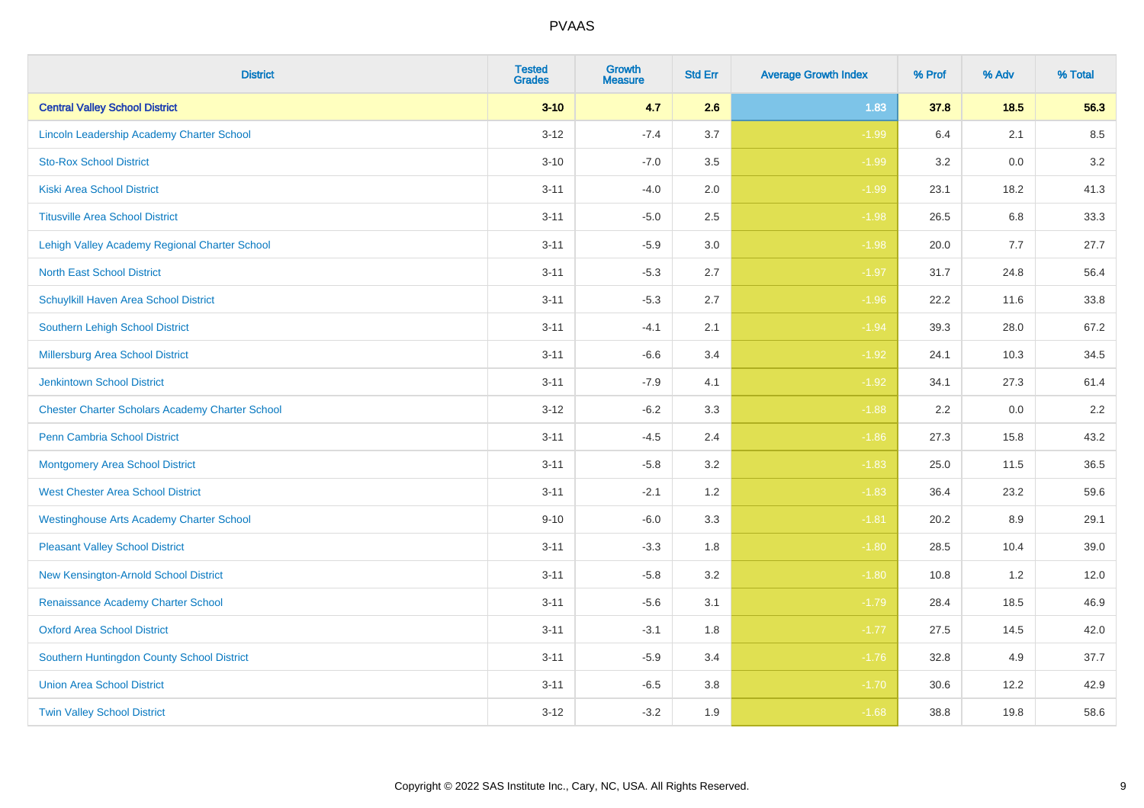| <b>District</b>                                        | <b>Tested</b><br><b>Grades</b> | <b>Growth</b><br><b>Measure</b> | <b>Std Err</b> | <b>Average Growth Index</b> | % Prof | % Adv  | % Total |
|--------------------------------------------------------|--------------------------------|---------------------------------|----------------|-----------------------------|--------|--------|---------|
| <b>Central Valley School District</b>                  | $3 - 10$                       | 4.7                             | 2.6            | 1.83                        | 37.8   | $18.5$ | 56.3    |
| Lincoln Leadership Academy Charter School              | $3 - 12$                       | $-7.4$                          | 3.7            | $-1.99$                     | 6.4    | 2.1    | 8.5     |
| <b>Sto-Rox School District</b>                         | $3 - 10$                       | $-7.0$                          | 3.5            | $-1.99$                     | 3.2    | 0.0    | 3.2     |
| <b>Kiski Area School District</b>                      | $3 - 11$                       | $-4.0$                          | 2.0            | $-1.99$                     | 23.1   | 18.2   | 41.3    |
| <b>Titusville Area School District</b>                 | $3 - 11$                       | $-5.0$                          | 2.5            | $-1.98$                     | 26.5   | 6.8    | 33.3    |
| Lehigh Valley Academy Regional Charter School          | $3 - 11$                       | $-5.9$                          | 3.0            | $-1.98$                     | 20.0   | 7.7    | 27.7    |
| <b>North East School District</b>                      | $3 - 11$                       | $-5.3$                          | 2.7            | $-1.97$                     | 31.7   | 24.8   | 56.4    |
| Schuylkill Haven Area School District                  | $3 - 11$                       | $-5.3$                          | 2.7            | $-1.96$                     | 22.2   | 11.6   | 33.8    |
| <b>Southern Lehigh School District</b>                 | $3 - 11$                       | $-4.1$                          | 2.1            | $-1.94$                     | 39.3   | 28.0   | 67.2    |
| Millersburg Area School District                       | $3 - 11$                       | $-6.6$                          | 3.4            | $-1.92$                     | 24.1   | 10.3   | 34.5    |
| <b>Jenkintown School District</b>                      | $3 - 11$                       | $-7.9$                          | 4.1            | $-1.92$                     | 34.1   | 27.3   | 61.4    |
| <b>Chester Charter Scholars Academy Charter School</b> | $3 - 12$                       | $-6.2$                          | 3.3            | $-1.88$                     | 2.2    | 0.0    | $2.2\,$ |
| <b>Penn Cambria School District</b>                    | $3 - 11$                       | $-4.5$                          | 2.4            | $-1.86$                     | 27.3   | 15.8   | 43.2    |
| <b>Montgomery Area School District</b>                 | $3 - 11$                       | $-5.8$                          | 3.2            | $-1.83$                     | 25.0   | 11.5   | 36.5    |
| <b>West Chester Area School District</b>               | $3 - 11$                       | $-2.1$                          | 1.2            | $-1.83$                     | 36.4   | 23.2   | 59.6    |
| <b>Westinghouse Arts Academy Charter School</b>        | $9 - 10$                       | $-6.0$                          | 3.3            | $-1.81$                     | 20.2   | 8.9    | 29.1    |
| <b>Pleasant Valley School District</b>                 | $3 - 11$                       | $-3.3$                          | 1.8            | $-1.80$                     | 28.5   | 10.4   | 39.0    |
| New Kensington-Arnold School District                  | $3 - 11$                       | $-5.8$                          | 3.2            | $-1.80$                     | 10.8   | 1.2    | 12.0    |
| Renaissance Academy Charter School                     | $3 - 11$                       | $-5.6$                          | 3.1            | $-1.79$                     | 28.4   | 18.5   | 46.9    |
| <b>Oxford Area School District</b>                     | $3 - 11$                       | $-3.1$                          | 1.8            | $-1.77$                     | 27.5   | 14.5   | 42.0    |
| Southern Huntingdon County School District             | $3 - 11$                       | $-5.9$                          | 3.4            | $-1.76$                     | 32.8   | 4.9    | 37.7    |
| <b>Union Area School District</b>                      | $3 - 11$                       | $-6.5$                          | 3.8            | $-1.70$                     | 30.6   | 12.2   | 42.9    |
| <b>Twin Valley School District</b>                     | $3-12$                         | $-3.2$                          | 1.9            | $-1.68$                     | 38.8   | 19.8   | 58.6    |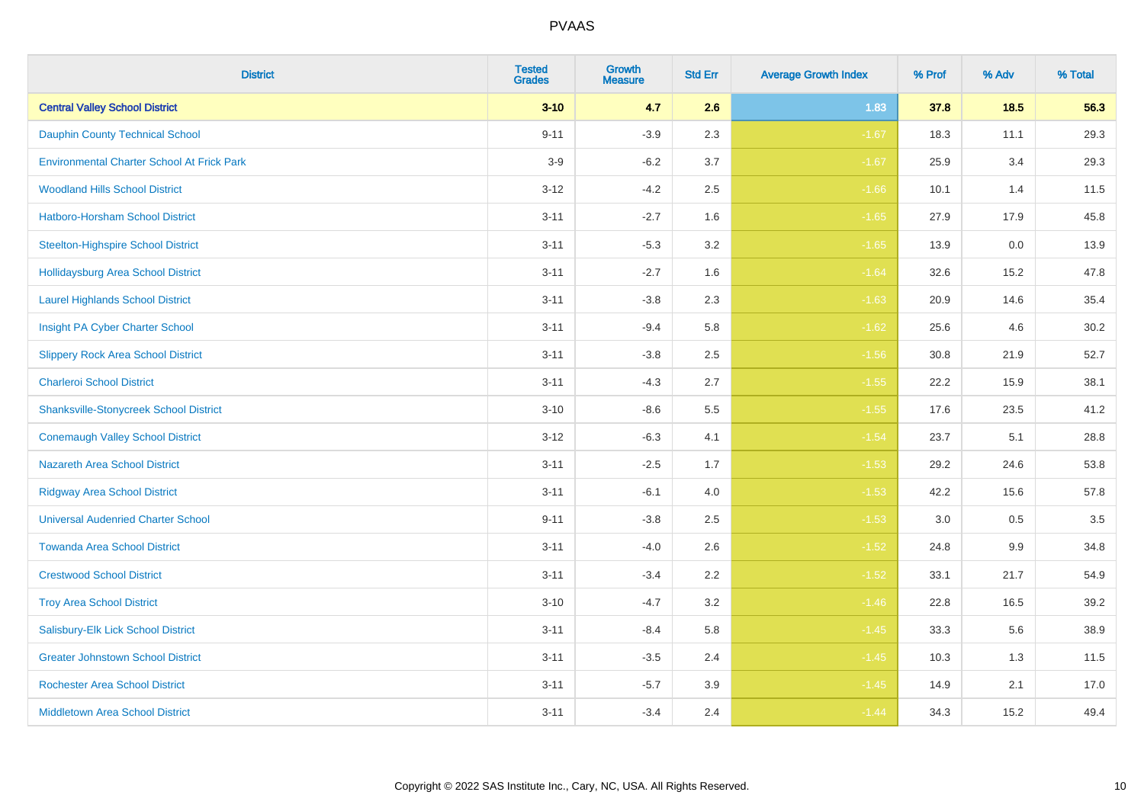| <b>District</b>                                   | <b>Tested</b><br><b>Grades</b> | <b>Growth</b><br><b>Measure</b> | <b>Std Err</b> | <b>Average Growth Index</b> | % Prof | % Adv   | % Total |
|---------------------------------------------------|--------------------------------|---------------------------------|----------------|-----------------------------|--------|---------|---------|
| <b>Central Valley School District</b>             | $3 - 10$                       | 4.7                             | 2.6            | 1.83                        | 37.8   | 18.5    | 56.3    |
| <b>Dauphin County Technical School</b>            | $9 - 11$                       | $-3.9$                          | 2.3            | $-1.67$                     | 18.3   | 11.1    | 29.3    |
| <b>Environmental Charter School At Frick Park</b> | $3-9$                          | $-6.2$                          | 3.7            | $-1.67$                     | 25.9   | 3.4     | 29.3    |
| <b>Woodland Hills School District</b>             | $3 - 12$                       | $-4.2$                          | 2.5            | $-1.66$                     | 10.1   | 1.4     | 11.5    |
| <b>Hatboro-Horsham School District</b>            | $3 - 11$                       | $-2.7$                          | 1.6            | $-1.65$                     | 27.9   | 17.9    | 45.8    |
| <b>Steelton-Highspire School District</b>         | $3 - 11$                       | $-5.3$                          | 3.2            | $-1.65$                     | 13.9   | 0.0     | 13.9    |
| <b>Hollidaysburg Area School District</b>         | $3 - 11$                       | $-2.7$                          | 1.6            | $-1.64$                     | 32.6   | 15.2    | 47.8    |
| <b>Laurel Highlands School District</b>           | $3 - 11$                       | $-3.8$                          | 2.3            | $-1.63$                     | 20.9   | 14.6    | 35.4    |
| Insight PA Cyber Charter School                   | $3 - 11$                       | $-9.4$                          | 5.8            | $-1.62$                     | 25.6   | 4.6     | 30.2    |
| <b>Slippery Rock Area School District</b>         | $3 - 11$                       | $-3.8$                          | 2.5            | $-1.56$                     | 30.8   | 21.9    | 52.7    |
| <b>Charleroi School District</b>                  | $3 - 11$                       | $-4.3$                          | 2.7            | $-1.55$                     | 22.2   | 15.9    | 38.1    |
| <b>Shanksville-Stonycreek School District</b>     | $3 - 10$                       | $-8.6$                          | 5.5            | $-1.55$                     | 17.6   | 23.5    | 41.2    |
| <b>Conemaugh Valley School District</b>           | $3 - 12$                       | $-6.3$                          | 4.1            | $-1.54$                     | 23.7   | 5.1     | 28.8    |
| <b>Nazareth Area School District</b>              | $3 - 11$                       | $-2.5$                          | 1.7            | $-1.53$                     | 29.2   | 24.6    | 53.8    |
| <b>Ridgway Area School District</b>               | $3 - 11$                       | $-6.1$                          | 4.0            | $-1.53$                     | 42.2   | 15.6    | 57.8    |
| <b>Universal Audenried Charter School</b>         | $9 - 11$                       | $-3.8$                          | 2.5            | $-1.53$                     | 3.0    | $0.5\,$ | 3.5     |
| <b>Towanda Area School District</b>               | $3 - 11$                       | $-4.0$                          | 2.6            | $-1.52$                     | 24.8   | $9.9\,$ | 34.8    |
| <b>Crestwood School District</b>                  | $3 - 11$                       | $-3.4$                          | 2.2            | $-1.52$                     | 33.1   | 21.7    | 54.9    |
| <b>Troy Area School District</b>                  | $3 - 10$                       | $-4.7$                          | 3.2            | $-1.46$                     | 22.8   | 16.5    | 39.2    |
| Salisbury-Elk Lick School District                | $3 - 11$                       | $-8.4$                          | 5.8            | $-1.45$                     | 33.3   | 5.6     | 38.9    |
| <b>Greater Johnstown School District</b>          | $3 - 11$                       | $-3.5$                          | 2.4            | $-1.45$                     | 10.3   | 1.3     | 11.5    |
| <b>Rochester Area School District</b>             | $3 - 11$                       | $-5.7$                          | 3.9            | $-1.45$                     | 14.9   | 2.1     | 17.0    |
| <b>Middletown Area School District</b>            | $3 - 11$                       | $-3.4$                          | 2.4            | $-1.44$                     | 34.3   | 15.2    | 49.4    |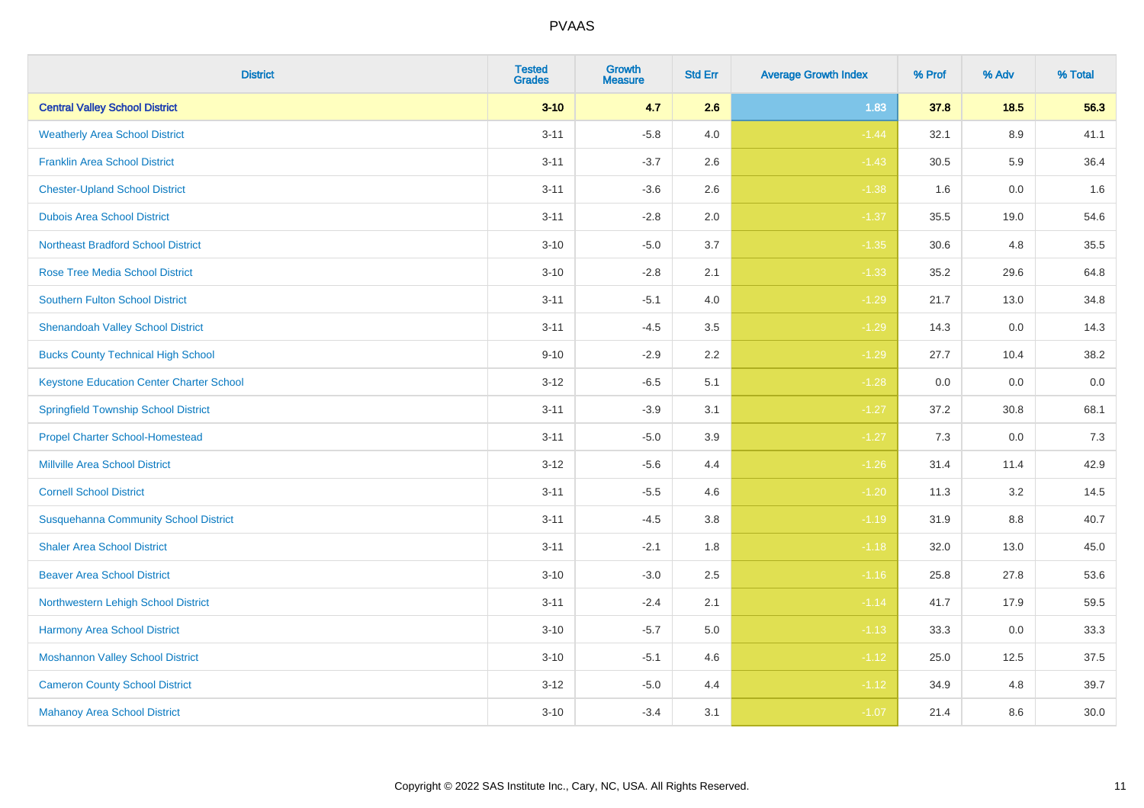| <b>District</b>                                 | <b>Tested</b><br><b>Grades</b> | Growth<br><b>Measure</b> | <b>Std Err</b> | <b>Average Growth Index</b> | % Prof | % Adv | % Total |
|-------------------------------------------------|--------------------------------|--------------------------|----------------|-----------------------------|--------|-------|---------|
| <b>Central Valley School District</b>           | $3 - 10$                       | 4.7                      | 2.6            | 1.83                        | 37.8   | 18.5  | 56.3    |
| <b>Weatherly Area School District</b>           | $3 - 11$                       | $-5.8$                   | 4.0            | $-1.44$                     | 32.1   | 8.9   | 41.1    |
| <b>Franklin Area School District</b>            | $3 - 11$                       | $-3.7$                   | 2.6            | $-1.43$                     | 30.5   | 5.9   | 36.4    |
| <b>Chester-Upland School District</b>           | $3 - 11$                       | $-3.6$                   | 2.6            | $-1.38$                     | 1.6    | 0.0   | 1.6     |
| <b>Dubois Area School District</b>              | $3 - 11$                       | $-2.8$                   | 2.0            | $-1.37$                     | 35.5   | 19.0  | 54.6    |
| <b>Northeast Bradford School District</b>       | $3 - 10$                       | $-5.0$                   | 3.7            | $-1.35$                     | 30.6   | 4.8   | 35.5    |
| <b>Rose Tree Media School District</b>          | $3 - 10$                       | $-2.8$                   | 2.1            | $-1.33$                     | 35.2   | 29.6  | 64.8    |
| <b>Southern Fulton School District</b>          | $3 - 11$                       | $-5.1$                   | 4.0            | $-1.29$                     | 21.7   | 13.0  | 34.8    |
| <b>Shenandoah Valley School District</b>        | $3 - 11$                       | $-4.5$                   | 3.5            | $-1.29$                     | 14.3   | 0.0   | 14.3    |
| <b>Bucks County Technical High School</b>       | $9 - 10$                       | $-2.9$                   | $2.2\,$        | $-1.29$                     | 27.7   | 10.4  | 38.2    |
| <b>Keystone Education Center Charter School</b> | $3 - 12$                       | $-6.5$                   | 5.1            | $-1.28$                     | 0.0    | 0.0   | $0.0\,$ |
| <b>Springfield Township School District</b>     | $3 - 11$                       | $-3.9$                   | 3.1            | $-1.27$                     | 37.2   | 30.8  | 68.1    |
| <b>Propel Charter School-Homestead</b>          | $3 - 11$                       | $-5.0$                   | 3.9            | $-1.27$                     | 7.3    | 0.0   | 7.3     |
| <b>Millville Area School District</b>           | $3 - 12$                       | $-5.6$                   | 4.4            | $-1.26$                     | 31.4   | 11.4  | 42.9    |
| <b>Cornell School District</b>                  | $3 - 11$                       | $-5.5$                   | 4.6            | $-1.20$                     | 11.3   | 3.2   | 14.5    |
| <b>Susquehanna Community School District</b>    | $3 - 11$                       | $-4.5$                   | 3.8            | $-1.19$                     | 31.9   | 8.8   | 40.7    |
| <b>Shaler Area School District</b>              | $3 - 11$                       | $-2.1$                   | 1.8            | $-1.18$                     | 32.0   | 13.0  | 45.0    |
| <b>Beaver Area School District</b>              | $3 - 10$                       | $-3.0$                   | 2.5            | $-1.16$                     | 25.8   | 27.8  | 53.6    |
| Northwestern Lehigh School District             | $3 - 11$                       | $-2.4$                   | 2.1            | $-1.14$                     | 41.7   | 17.9  | 59.5    |
| Harmony Area School District                    | $3 - 10$                       | $-5.7$                   | 5.0            | $-1.13$                     | 33.3   | 0.0   | 33.3    |
| <b>Moshannon Valley School District</b>         | $3 - 10$                       | $-5.1$                   | 4.6            | $-1.12$                     | 25.0   | 12.5  | 37.5    |
| <b>Cameron County School District</b>           | $3 - 12$                       | $-5.0$                   | 4.4            | $-1.12$                     | 34.9   | 4.8   | 39.7    |
| <b>Mahanoy Area School District</b>             | $3 - 10$                       | $-3.4$                   | 3.1            | $-1.07$                     | 21.4   | 8.6   | 30.0    |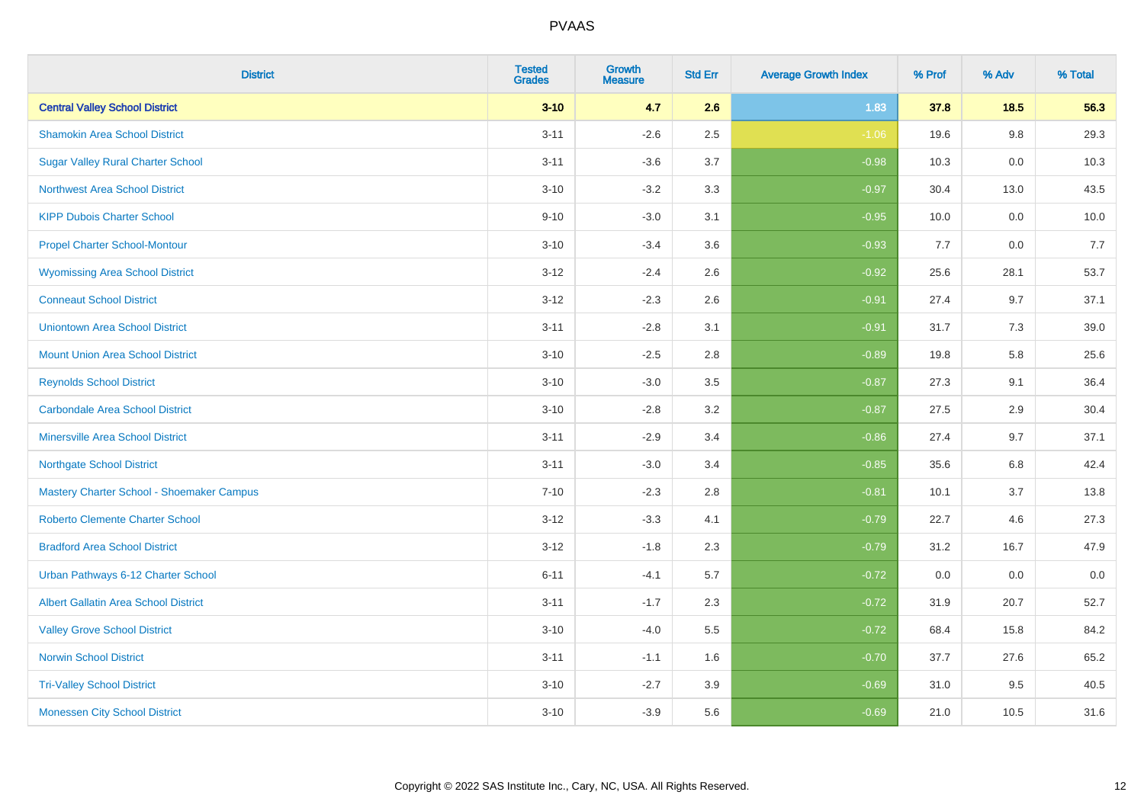| <b>District</b>                             | <b>Tested</b><br><b>Grades</b> | <b>Growth</b><br><b>Measure</b> | <b>Std Err</b> | <b>Average Growth Index</b> | % Prof | % Adv  | % Total |
|---------------------------------------------|--------------------------------|---------------------------------|----------------|-----------------------------|--------|--------|---------|
| <b>Central Valley School District</b>       | $3 - 10$                       | 4.7                             | 2.6            | 1.83                        | 37.8   | $18.5$ | 56.3    |
| <b>Shamokin Area School District</b>        | $3 - 11$                       | $-2.6$                          | 2.5            | $-1.06$                     | 19.6   | 9.8    | 29.3    |
| <b>Sugar Valley Rural Charter School</b>    | $3 - 11$                       | $-3.6$                          | 3.7            | $-0.98$                     | 10.3   | 0.0    | 10.3    |
| <b>Northwest Area School District</b>       | $3 - 10$                       | $-3.2$                          | 3.3            | $-0.97$                     | 30.4   | 13.0   | 43.5    |
| <b>KIPP Dubois Charter School</b>           | $9 - 10$                       | $-3.0$                          | 3.1            | $-0.95$                     | 10.0   | 0.0    | 10.0    |
| <b>Propel Charter School-Montour</b>        | $3 - 10$                       | $-3.4$                          | 3.6            | $-0.93$                     | 7.7    | 0.0    | 7.7     |
| <b>Wyomissing Area School District</b>      | $3 - 12$                       | $-2.4$                          | 2.6            | $-0.92$                     | 25.6   | 28.1   | 53.7    |
| <b>Conneaut School District</b>             | $3 - 12$                       | $-2.3$                          | 2.6            | $-0.91$                     | 27.4   | 9.7    | 37.1    |
| <b>Uniontown Area School District</b>       | $3 - 11$                       | $-2.8$                          | 3.1            | $-0.91$                     | 31.7   | 7.3    | 39.0    |
| <b>Mount Union Area School District</b>     | $3 - 10$                       | $-2.5$                          | 2.8            | $-0.89$                     | 19.8   | 5.8    | 25.6    |
| <b>Reynolds School District</b>             | $3 - 10$                       | $-3.0$                          | 3.5            | $-0.87$                     | 27.3   | 9.1    | 36.4    |
| <b>Carbondale Area School District</b>      | $3 - 10$                       | $-2.8$                          | 3.2            | $-0.87$                     | 27.5   | 2.9    | 30.4    |
| <b>Minersville Area School District</b>     | $3 - 11$                       | $-2.9$                          | 3.4            | $-0.86$                     | 27.4   | 9.7    | 37.1    |
| <b>Northgate School District</b>            | $3 - 11$                       | $-3.0$                          | 3.4            | $-0.85$                     | 35.6   | 6.8    | 42.4    |
| Mastery Charter School - Shoemaker Campus   | $7 - 10$                       | $-2.3$                          | 2.8            | $-0.81$                     | 10.1   | 3.7    | 13.8    |
| Roberto Clemente Charter School             | $3 - 12$                       | $-3.3$                          | 4.1            | $-0.79$                     | 22.7   | 4.6    | 27.3    |
| <b>Bradford Area School District</b>        | $3 - 12$                       | $-1.8$                          | 2.3            | $-0.79$                     | 31.2   | 16.7   | 47.9    |
| Urban Pathways 6-12 Charter School          | $6 - 11$                       | $-4.1$                          | 5.7            | $-0.72$                     | 0.0    | 0.0    | $0.0\,$ |
| <b>Albert Gallatin Area School District</b> | $3 - 11$                       | $-1.7$                          | 2.3            | $-0.72$                     | 31.9   | 20.7   | 52.7    |
| <b>Valley Grove School District</b>         | $3 - 10$                       | $-4.0$                          | 5.5            | $-0.72$                     | 68.4   | 15.8   | 84.2    |
| <b>Norwin School District</b>               | $3 - 11$                       | $-1.1$                          | 1.6            | $-0.70$                     | 37.7   | 27.6   | 65.2    |
| <b>Tri-Valley School District</b>           | $3 - 10$                       | $-2.7$                          | 3.9            | $-0.69$                     | 31.0   | 9.5    | 40.5    |
| <b>Monessen City School District</b>        | $3 - 10$                       | $-3.9$                          | 5.6            | $-0.69$                     | 21.0   | 10.5   | 31.6    |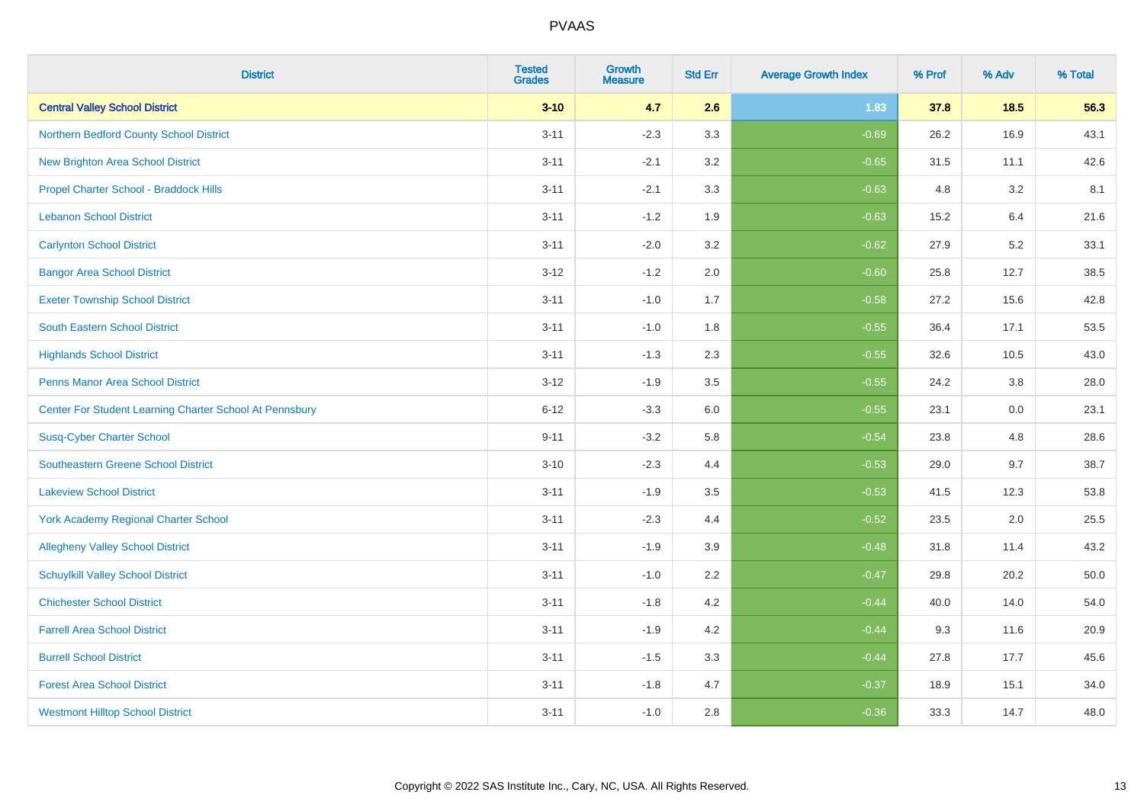| <b>District</b>                                         | <b>Tested</b><br><b>Grades</b> | <b>Growth</b><br><b>Measure</b> | <b>Std Err</b> | <b>Average Growth Index</b> | % Prof | % Adv  | % Total |
|---------------------------------------------------------|--------------------------------|---------------------------------|----------------|-----------------------------|--------|--------|---------|
| <b>Central Valley School District</b>                   | $3 - 10$                       | 4.7                             | 2.6            | 1.83                        | 37.8   | $18.5$ | 56.3    |
| Northern Bedford County School District                 | $3 - 11$                       | $-2.3$                          | 3.3            | $-0.69$                     | 26.2   | 16.9   | 43.1    |
| <b>New Brighton Area School District</b>                | $3 - 11$                       | $-2.1$                          | 3.2            | $-0.65$                     | 31.5   | 11.1   | 42.6    |
| Propel Charter School - Braddock Hills                  | $3 - 11$                       | $-2.1$                          | 3.3            | $-0.63$                     | 4.8    | 3.2    | 8.1     |
| <b>Lebanon School District</b>                          | $3 - 11$                       | $-1.2$                          | 1.9            | $-0.63$                     | 15.2   | 6.4    | 21.6    |
| <b>Carlynton School District</b>                        | $3 - 11$                       | $-2.0$                          | 3.2            | $-0.62$                     | 27.9   | 5.2    | 33.1    |
| <b>Bangor Area School District</b>                      | $3 - 12$                       | $-1.2$                          | 2.0            | $-0.60$                     | 25.8   | 12.7   | 38.5    |
| <b>Exeter Township School District</b>                  | $3 - 11$                       | $-1.0$                          | 1.7            | $-0.58$                     | 27.2   | 15.6   | 42.8    |
| <b>South Eastern School District</b>                    | $3 - 11$                       | $-1.0$                          | 1.8            | $-0.55$                     | 36.4   | 17.1   | 53.5    |
| <b>Highlands School District</b>                        | $3 - 11$                       | $-1.3$                          | 2.3            | $-0.55$                     | 32.6   | 10.5   | 43.0    |
| <b>Penns Manor Area School District</b>                 | $3 - 12$                       | $-1.9$                          | 3.5            | $-0.55$                     | 24.2   | 3.8    | 28.0    |
| Center For Student Learning Charter School At Pennsbury | $6 - 12$                       | $-3.3$                          | 6.0            | $-0.55$                     | 23.1   | 0.0    | 23.1    |
| <b>Susq-Cyber Charter School</b>                        | $9 - 11$                       | $-3.2$                          | 5.8            | $-0.54$                     | 23.8   | 4.8    | 28.6    |
| Southeastern Greene School District                     | $3 - 10$                       | $-2.3$                          | 4.4            | $-0.53$                     | 29.0   | 9.7    | 38.7    |
| <b>Lakeview School District</b>                         | $3 - 11$                       | $-1.9$                          | 3.5            | $-0.53$                     | 41.5   | 12.3   | 53.8    |
| <b>York Academy Regional Charter School</b>             | $3 - 11$                       | $-2.3$                          | 4.4            | $-0.52$                     | 23.5   | 2.0    | 25.5    |
| <b>Allegheny Valley School District</b>                 | $3 - 11$                       | $-1.9$                          | 3.9            | $-0.48$                     | 31.8   | 11.4   | 43.2    |
| <b>Schuylkill Valley School District</b>                | $3 - 11$                       | $-1.0$                          | 2.2            | $-0.47$                     | 29.8   | 20.2   | 50.0    |
| <b>Chichester School District</b>                       | $3 - 11$                       | $-1.8$                          | 4.2            | $-0.44$                     | 40.0   | 14.0   | 54.0    |
| <b>Farrell Area School District</b>                     | $3 - 11$                       | $-1.9$                          | 4.2            | $-0.44$                     | 9.3    | 11.6   | 20.9    |
| <b>Burrell School District</b>                          | $3 - 11$                       | $-1.5$                          | 3.3            | $-0.44$                     | 27.8   | 17.7   | 45.6    |
| <b>Forest Area School District</b>                      | $3 - 11$                       | $-1.8$                          | 4.7            | $-0.37$                     | 18.9   | 15.1   | 34.0    |
| <b>Westmont Hilltop School District</b>                 | $3 - 11$                       | $-1.0$                          | 2.8            | $-0.36$                     | 33.3   | 14.7   | 48.0    |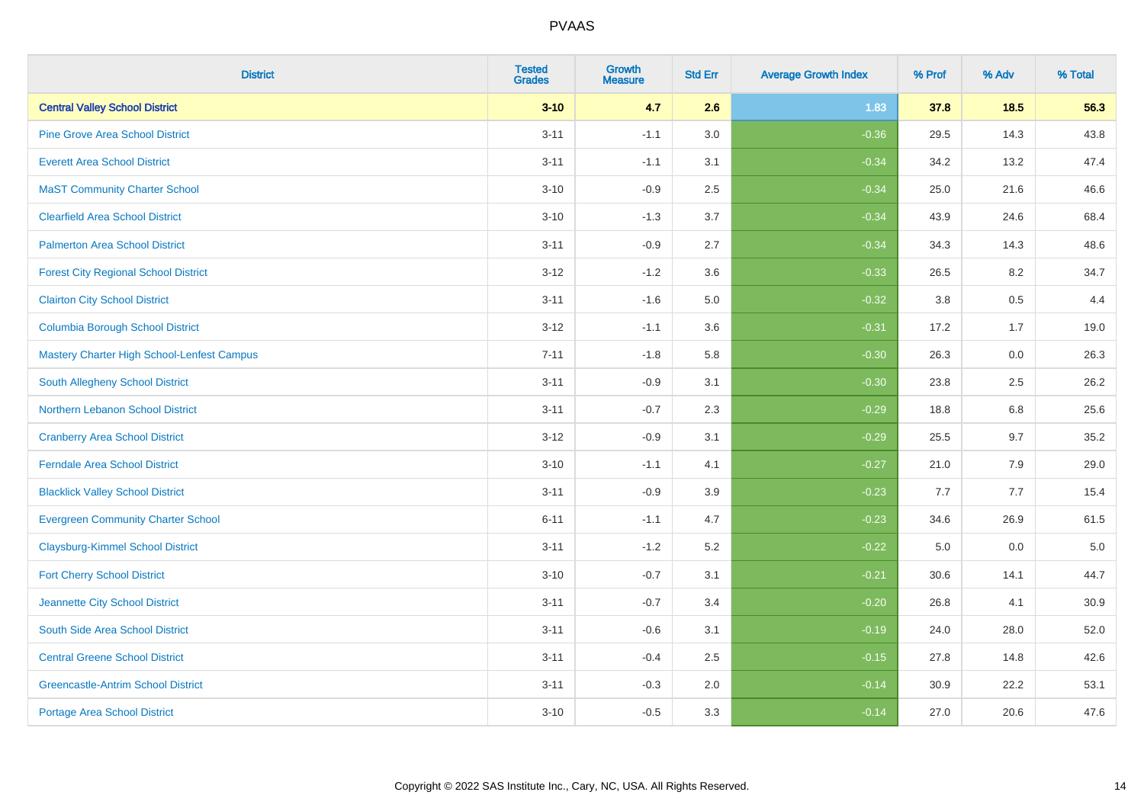| <b>District</b>                             | <b>Tested</b><br><b>Grades</b> | <b>Growth</b><br><b>Measure</b> | <b>Std Err</b> | <b>Average Growth Index</b> | % Prof | % Adv   | % Total |
|---------------------------------------------|--------------------------------|---------------------------------|----------------|-----------------------------|--------|---------|---------|
| <b>Central Valley School District</b>       | $3 - 10$                       | 4.7                             | 2.6            | 1.83                        | 37.8   | 18.5    | 56.3    |
| <b>Pine Grove Area School District</b>      | $3 - 11$                       | $-1.1$                          | 3.0            | $-0.36$                     | 29.5   | 14.3    | 43.8    |
| <b>Everett Area School District</b>         | $3 - 11$                       | $-1.1$                          | 3.1            | $-0.34$                     | 34.2   | 13.2    | 47.4    |
| <b>MaST Community Charter School</b>        | $3 - 10$                       | $-0.9$                          | 2.5            | $-0.34$                     | 25.0   | 21.6    | 46.6    |
| <b>Clearfield Area School District</b>      | $3 - 10$                       | $-1.3$                          | 3.7            | $-0.34$                     | 43.9   | 24.6    | 68.4    |
| <b>Palmerton Area School District</b>       | $3 - 11$                       | $-0.9$                          | 2.7            | $-0.34$                     | 34.3   | 14.3    | 48.6    |
| <b>Forest City Regional School District</b> | $3 - 12$                       | $-1.2$                          | 3.6            | $-0.33$                     | 26.5   | 8.2     | 34.7    |
| <b>Clairton City School District</b>        | $3 - 11$                       | $-1.6$                          | 5.0            | $-0.32$                     | 3.8    | 0.5     | 4.4     |
| <b>Columbia Borough School District</b>     | $3 - 12$                       | $-1.1$                          | 3.6            | $-0.31$                     | 17.2   | 1.7     | 19.0    |
| Mastery Charter High School-Lenfest Campus  | $7 - 11$                       | $-1.8$                          | 5.8            | $-0.30$                     | 26.3   | 0.0     | 26.3    |
| South Allegheny School District             | $3 - 11$                       | $-0.9$                          | 3.1            | $-0.30$                     | 23.8   | 2.5     | 26.2    |
| <b>Northern Lebanon School District</b>     | $3 - 11$                       | $-0.7$                          | 2.3            | $-0.29$                     | 18.8   | 6.8     | 25.6    |
| <b>Cranberry Area School District</b>       | $3 - 12$                       | $-0.9$                          | 3.1            | $-0.29$                     | 25.5   | 9.7     | 35.2    |
| <b>Ferndale Area School District</b>        | $3 - 10$                       | $-1.1$                          | 4.1            | $-0.27$                     | 21.0   | 7.9     | 29.0    |
| <b>Blacklick Valley School District</b>     | $3 - 11$                       | $-0.9$                          | 3.9            | $-0.23$                     | 7.7    | 7.7     | 15.4    |
| <b>Evergreen Community Charter School</b>   | $6 - 11$                       | $-1.1$                          | 4.7            | $-0.23$                     | 34.6   | 26.9    | 61.5    |
| <b>Claysburg-Kimmel School District</b>     | $3 - 11$                       | $-1.2$                          | 5.2            | $-0.22$                     | 5.0    | $0.0\,$ | $5.0$   |
| <b>Fort Cherry School District</b>          | $3 - 10$                       | $-0.7$                          | 3.1            | $-0.21$                     | 30.6   | 14.1    | 44.7    |
| Jeannette City School District              | $3 - 11$                       | $-0.7$                          | 3.4            | $-0.20$                     | 26.8   | 4.1     | 30.9    |
| South Side Area School District             | $3 - 11$                       | $-0.6$                          | 3.1            | $-0.19$                     | 24.0   | 28.0    | 52.0    |
| <b>Central Greene School District</b>       | $3 - 11$                       | $-0.4$                          | 2.5            | $-0.15$                     | 27.8   | 14.8    | 42.6    |
| <b>Greencastle-Antrim School District</b>   | $3 - 11$                       | $-0.3$                          | 2.0            | $-0.14$                     | 30.9   | 22.2    | 53.1    |
| <b>Portage Area School District</b>         | $3 - 10$                       | $-0.5$                          | 3.3            | $-0.14$                     | 27.0   | 20.6    | 47.6    |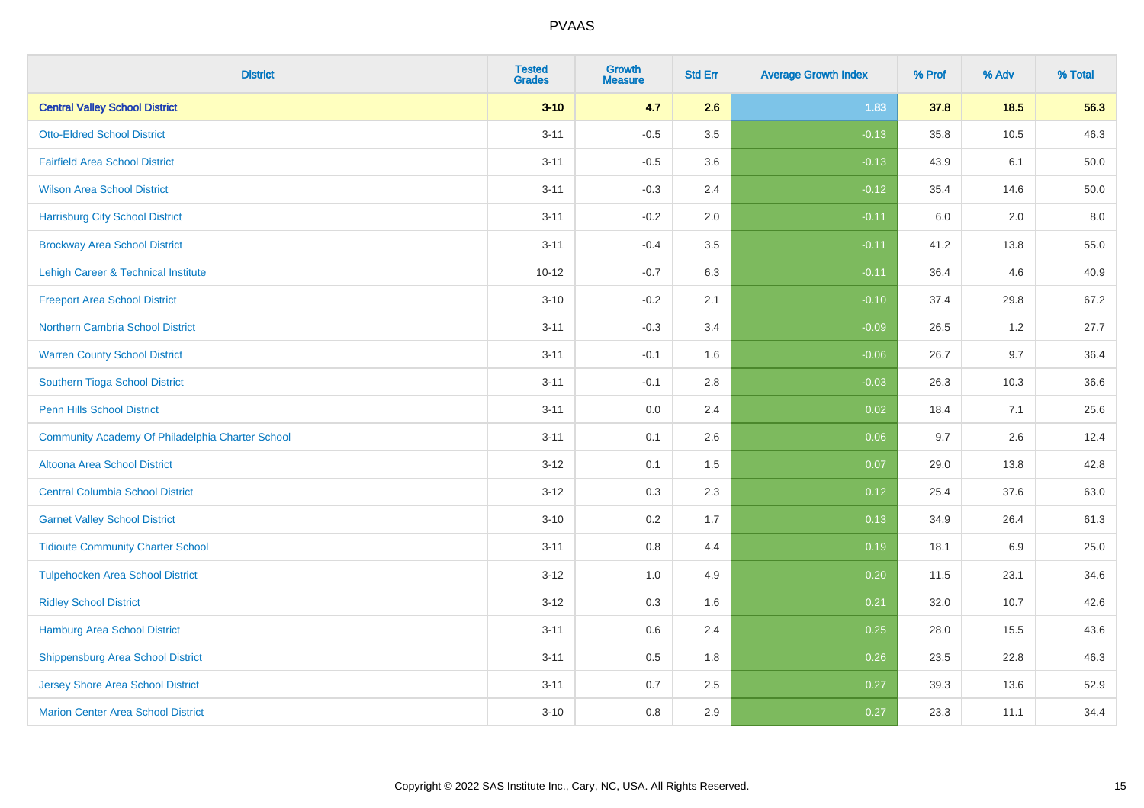| <b>District</b>                                  | <b>Tested</b><br><b>Grades</b> | <b>Growth</b><br><b>Measure</b> | <b>Std Err</b> | <b>Average Growth Index</b> | % Prof | % Adv | % Total |
|--------------------------------------------------|--------------------------------|---------------------------------|----------------|-----------------------------|--------|-------|---------|
| <b>Central Valley School District</b>            | $3 - 10$                       | 4.7                             | 2.6            | 1.83                        | 37.8   | 18.5  | 56.3    |
| <b>Otto-Eldred School District</b>               | $3 - 11$                       | $-0.5$                          | 3.5            | $-0.13$                     | 35.8   | 10.5  | 46.3    |
| <b>Fairfield Area School District</b>            | $3 - 11$                       | $-0.5$                          | 3.6            | $-0.13$                     | 43.9   | 6.1   | 50.0    |
| <b>Wilson Area School District</b>               | $3 - 11$                       | $-0.3$                          | 2.4            | $-0.12$                     | 35.4   | 14.6  | 50.0    |
| <b>Harrisburg City School District</b>           | $3 - 11$                       | $-0.2$                          | 2.0            | $-0.11$                     | 6.0    | 2.0   | 8.0     |
| <b>Brockway Area School District</b>             | $3 - 11$                       | $-0.4$                          | 3.5            | $-0.11$                     | 41.2   | 13.8  | 55.0    |
| Lehigh Career & Technical Institute              | $10 - 12$                      | $-0.7$                          | 6.3            | $-0.11$                     | 36.4   | 4.6   | 40.9    |
| <b>Freeport Area School District</b>             | $3 - 10$                       | $-0.2$                          | 2.1            | $-0.10$                     | 37.4   | 29.8  | 67.2    |
| <b>Northern Cambria School District</b>          | $3 - 11$                       | $-0.3$                          | 3.4            | $-0.09$                     | 26.5   | 1.2   | 27.7    |
| <b>Warren County School District</b>             | $3 - 11$                       | $-0.1$                          | 1.6            | $-0.06$                     | 26.7   | 9.7   | 36.4    |
| Southern Tioga School District                   | $3 - 11$                       | $-0.1$                          | 2.8            | $-0.03$                     | 26.3   | 10.3  | 36.6    |
| <b>Penn Hills School District</b>                | $3 - 11$                       | 0.0                             | 2.4            | 0.02                        | 18.4   | 7.1   | 25.6    |
| Community Academy Of Philadelphia Charter School | $3 - 11$                       | 0.1                             | 2.6            | 0.06                        | 9.7    | 2.6   | 12.4    |
| Altoona Area School District                     | $3-12$                         | 0.1                             | 1.5            | 0.07                        | 29.0   | 13.8  | 42.8    |
| <b>Central Columbia School District</b>          | $3 - 12$                       | 0.3                             | 2.3            | 0.12                        | 25.4   | 37.6  | 63.0    |
| <b>Garnet Valley School District</b>             | $3 - 10$                       | 0.2                             | 1.7            | 0.13                        | 34.9   | 26.4  | 61.3    |
| <b>Tidioute Community Charter School</b>         | $3 - 11$                       | 0.8                             | 4.4            | 0.19                        | 18.1   | 6.9   | 25.0    |
| <b>Tulpehocken Area School District</b>          | $3 - 12$                       | 1.0                             | 4.9            | 0.20                        | 11.5   | 23.1  | 34.6    |
| <b>Ridley School District</b>                    | $3 - 12$                       | 0.3                             | 1.6            | 0.21                        | 32.0   | 10.7  | 42.6    |
| <b>Hamburg Area School District</b>              | $3 - 11$                       | 0.6                             | 2.4            | 0.25                        | 28.0   | 15.5  | 43.6    |
| <b>Shippensburg Area School District</b>         | $3 - 11$                       | 0.5                             | 1.8            | 0.26                        | 23.5   | 22.8  | 46.3    |
| Jersey Shore Area School District                | $3 - 11$                       | 0.7                             | 2.5            | 0.27                        | 39.3   | 13.6  | 52.9    |
| <b>Marion Center Area School District</b>        | $3 - 10$                       | 0.8                             | 2.9            | 0.27                        | 23.3   | 11.1  | 34.4    |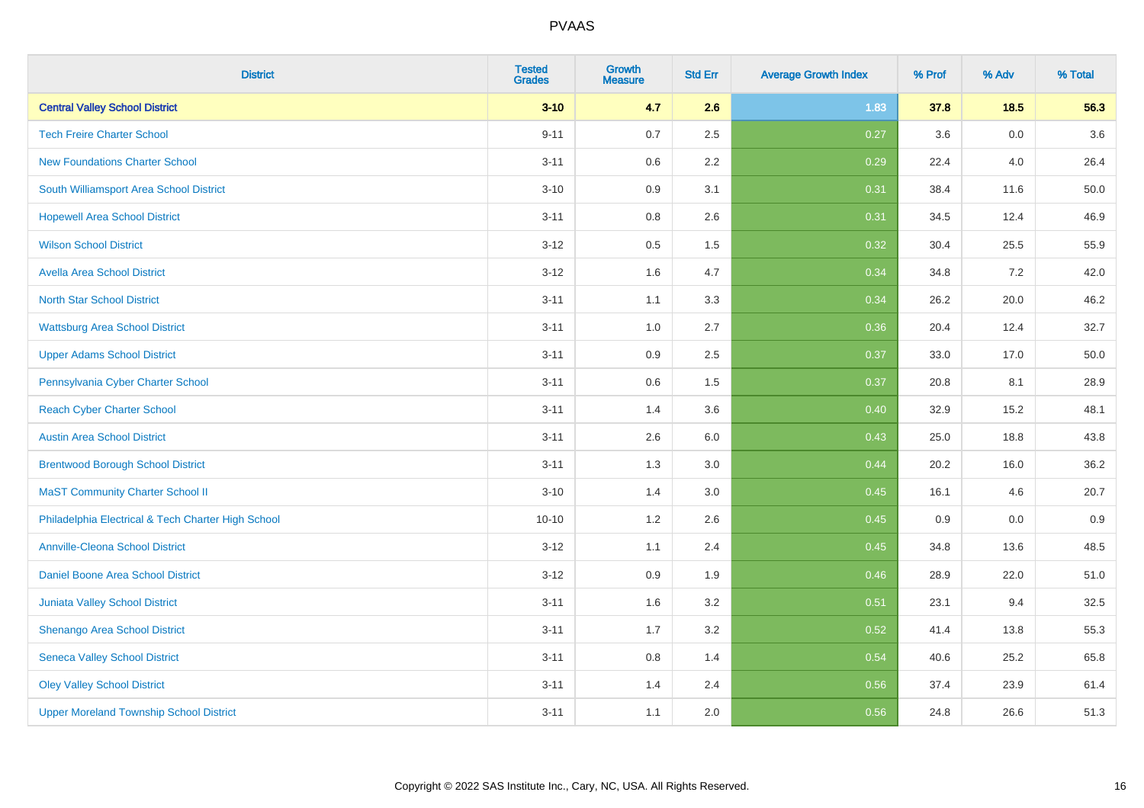| <b>District</b>                                    | <b>Tested</b><br><b>Grades</b> | <b>Growth</b><br><b>Measure</b> | <b>Std Err</b> | <b>Average Growth Index</b> | % Prof | % Adv   | % Total |
|----------------------------------------------------|--------------------------------|---------------------------------|----------------|-----------------------------|--------|---------|---------|
| <b>Central Valley School District</b>              | $3 - 10$                       | 4.7                             | 2.6            | 1.83                        | 37.8   | 18.5    | 56.3    |
| <b>Tech Freire Charter School</b>                  | $9 - 11$                       | 0.7                             | 2.5            | 0.27                        | 3.6    | $0.0\,$ | 3.6     |
| <b>New Foundations Charter School</b>              | $3 - 11$                       | 0.6                             | 2.2            | 0.29                        | 22.4   | 4.0     | 26.4    |
| South Williamsport Area School District            | $3 - 10$                       | 0.9                             | 3.1            | 0.31                        | 38.4   | 11.6    | 50.0    |
| <b>Hopewell Area School District</b>               | $3 - 11$                       | 0.8                             | 2.6            | 0.31                        | 34.5   | 12.4    | 46.9    |
| <b>Wilson School District</b>                      | $3 - 12$                       | 0.5                             | 1.5            | 0.32                        | 30.4   | 25.5    | 55.9    |
| <b>Avella Area School District</b>                 | $3-12$                         | 1.6                             | 4.7            | 0.34                        | 34.8   | $7.2\,$ | 42.0    |
| <b>North Star School District</b>                  | $3 - 11$                       | 1.1                             | 3.3            | 0.34                        | 26.2   | 20.0    | 46.2    |
| <b>Wattsburg Area School District</b>              | $3 - 11$                       | 1.0                             | 2.7            | 0.36                        | 20.4   | 12.4    | 32.7    |
| <b>Upper Adams School District</b>                 | $3 - 11$                       | 0.9                             | 2.5            | 0.37                        | 33.0   | 17.0    | 50.0    |
| Pennsylvania Cyber Charter School                  | $3 - 11$                       | 0.6                             | 1.5            | 0.37                        | 20.8   | 8.1     | 28.9    |
| <b>Reach Cyber Charter School</b>                  | $3 - 11$                       | 1.4                             | 3.6            | 0.40                        | 32.9   | 15.2    | 48.1    |
| <b>Austin Area School District</b>                 | $3 - 11$                       | 2.6                             | $6.0\,$        | 0.43                        | 25.0   | 18.8    | 43.8    |
| <b>Brentwood Borough School District</b>           | $3 - 11$                       | 1.3                             | 3.0            | 0.44                        | 20.2   | 16.0    | 36.2    |
| <b>MaST Community Charter School II</b>            | $3 - 10$                       | 1.4                             | 3.0            | 0.45                        | 16.1   | 4.6     | 20.7    |
| Philadelphia Electrical & Tech Charter High School | $10 - 10$                      | $1.2$                           | 2.6            | 0.45                        | 0.9    | $0.0\,$ | 0.9     |
| <b>Annville-Cleona School District</b>             | $3-12$                         | 1.1                             | 2.4            | 0.45                        | 34.8   | 13.6    | 48.5    |
| Daniel Boone Area School District                  | $3 - 12$                       | 0.9                             | 1.9            | 0.46                        | 28.9   | 22.0    | 51.0    |
| Juniata Valley School District                     | $3 - 11$                       | 1.6                             | 3.2            | 0.51                        | 23.1   | 9.4     | 32.5    |
| Shenango Area School District                      | $3 - 11$                       | 1.7                             | 3.2            | 0.52                        | 41.4   | 13.8    | 55.3    |
| <b>Seneca Valley School District</b>               | $3 - 11$                       | 0.8                             | 1.4            | 0.54                        | 40.6   | 25.2    | 65.8    |
| <b>Oley Valley School District</b>                 | $3 - 11$                       | 1.4                             | 2.4            | 0.56                        | 37.4   | 23.9    | 61.4    |
| <b>Upper Moreland Township School District</b>     | $3 - 11$                       | 1.1                             | 2.0            | 0.56                        | 24.8   | 26.6    | 51.3    |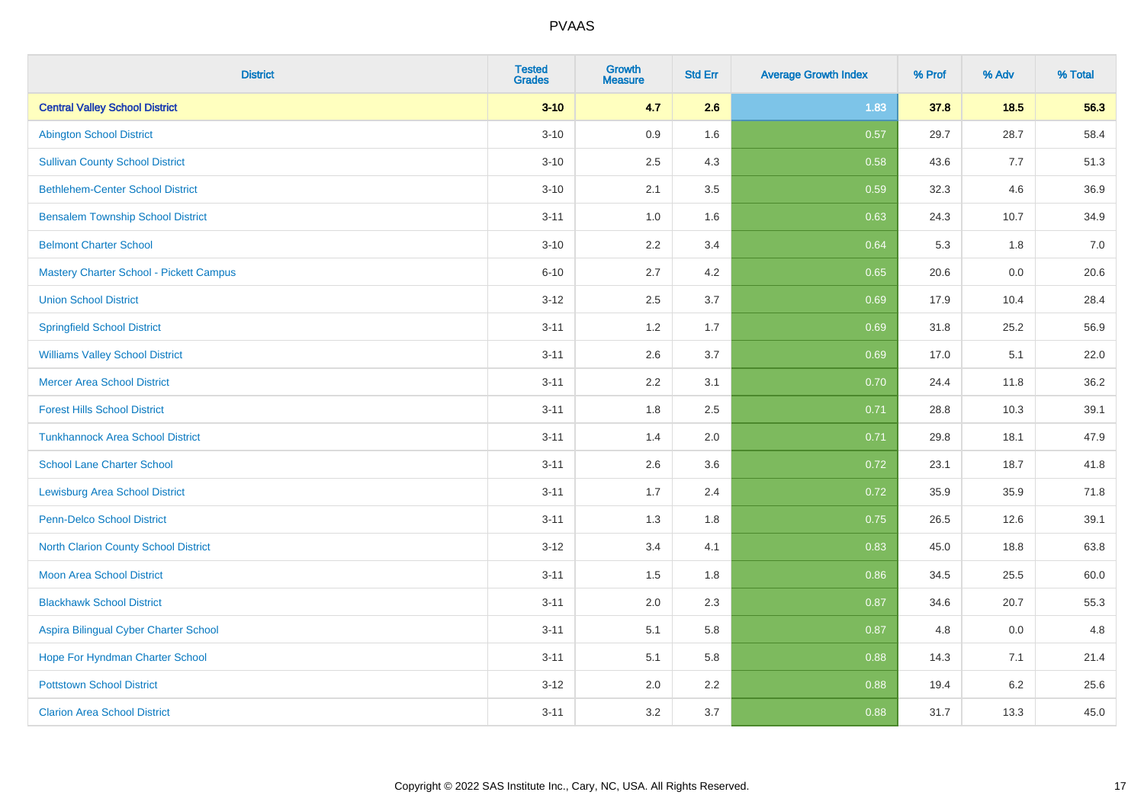| <b>District</b>                          | <b>Tested</b><br><b>Grades</b> | <b>Growth</b><br><b>Measure</b> | <b>Std Err</b> | <b>Average Growth Index</b> | % Prof | % Adv | % Total |
|------------------------------------------|--------------------------------|---------------------------------|----------------|-----------------------------|--------|-------|---------|
| <b>Central Valley School District</b>    | $3 - 10$                       | 4.7                             | 2.6            | 1.83                        | 37.8   | 18.5  | 56.3    |
| <b>Abington School District</b>          | $3 - 10$                       | 0.9                             | 1.6            | 0.57                        | 29.7   | 28.7  | 58.4    |
| <b>Sullivan County School District</b>   | $3 - 10$                       | 2.5                             | 4.3            | 0.58                        | 43.6   | 7.7   | 51.3    |
| <b>Bethlehem-Center School District</b>  | $3 - 10$                       | 2.1                             | 3.5            | 0.59                        | 32.3   | 4.6   | 36.9    |
| <b>Bensalem Township School District</b> | $3 - 11$                       | 1.0                             | 1.6            | 0.63                        | 24.3   | 10.7  | 34.9    |
| <b>Belmont Charter School</b>            | $3 - 10$                       | 2.2                             | 3.4            | 0.64                        | 5.3    | 1.8   | 7.0     |
| Mastery Charter School - Pickett Campus  | $6 - 10$                       | 2.7                             | 4.2            | 0.65                        | 20.6   | 0.0   | 20.6    |
| <b>Union School District</b>             | $3 - 12$                       | 2.5                             | 3.7            | 0.69                        | 17.9   | 10.4  | 28.4    |
| <b>Springfield School District</b>       | $3 - 11$                       | 1.2                             | 1.7            | 0.69                        | 31.8   | 25.2  | 56.9    |
| <b>Williams Valley School District</b>   | $3 - 11$                       | 2.6                             | 3.7            | 0.69                        | 17.0   | 5.1   | 22.0    |
| <b>Mercer Area School District</b>       | $3 - 11$                       | 2.2                             | 3.1            | 0.70                        | 24.4   | 11.8  | 36.2    |
| <b>Forest Hills School District</b>      | $3 - 11$                       | 1.8                             | 2.5            | 0.71                        | 28.8   | 10.3  | 39.1    |
| <b>Tunkhannock Area School District</b>  | $3 - 11$                       | 1.4                             | 2.0            | 0.71                        | 29.8   | 18.1  | 47.9    |
| <b>School Lane Charter School</b>        | $3 - 11$                       | 2.6                             | 3.6            | 0.72                        | 23.1   | 18.7  | 41.8    |
| <b>Lewisburg Area School District</b>    | $3 - 11$                       | 1.7                             | 2.4            | 0.72                        | 35.9   | 35.9  | 71.8    |
| Penn-Delco School District               | $3 - 11$                       | 1.3                             | 1.8            | 0.75                        | 26.5   | 12.6  | 39.1    |
| North Clarion County School District     | $3 - 12$                       | 3.4                             | 4.1            | 0.83                        | 45.0   | 18.8  | 63.8    |
| <b>Moon Area School District</b>         | $3 - 11$                       | 1.5                             | 1.8            | 0.86                        | 34.5   | 25.5  | 60.0    |
| <b>Blackhawk School District</b>         | $3 - 11$                       | 2.0                             | 2.3            | 0.87                        | 34.6   | 20.7  | 55.3    |
| Aspira Bilingual Cyber Charter School    | $3 - 11$                       | 5.1                             | 5.8            | 0.87                        | 4.8    | 0.0   | 4.8     |
| Hope For Hyndman Charter School          | $3 - 11$                       | 5.1                             | 5.8            | 0.88                        | 14.3   | 7.1   | 21.4    |
| <b>Pottstown School District</b>         | $3 - 12$                       | 2.0                             | 2.2            | 0.88                        | 19.4   | 6.2   | 25.6    |
| <b>Clarion Area School District</b>      | $3 - 11$                       | 3.2                             | 3.7            | 0.88                        | 31.7   | 13.3  | 45.0    |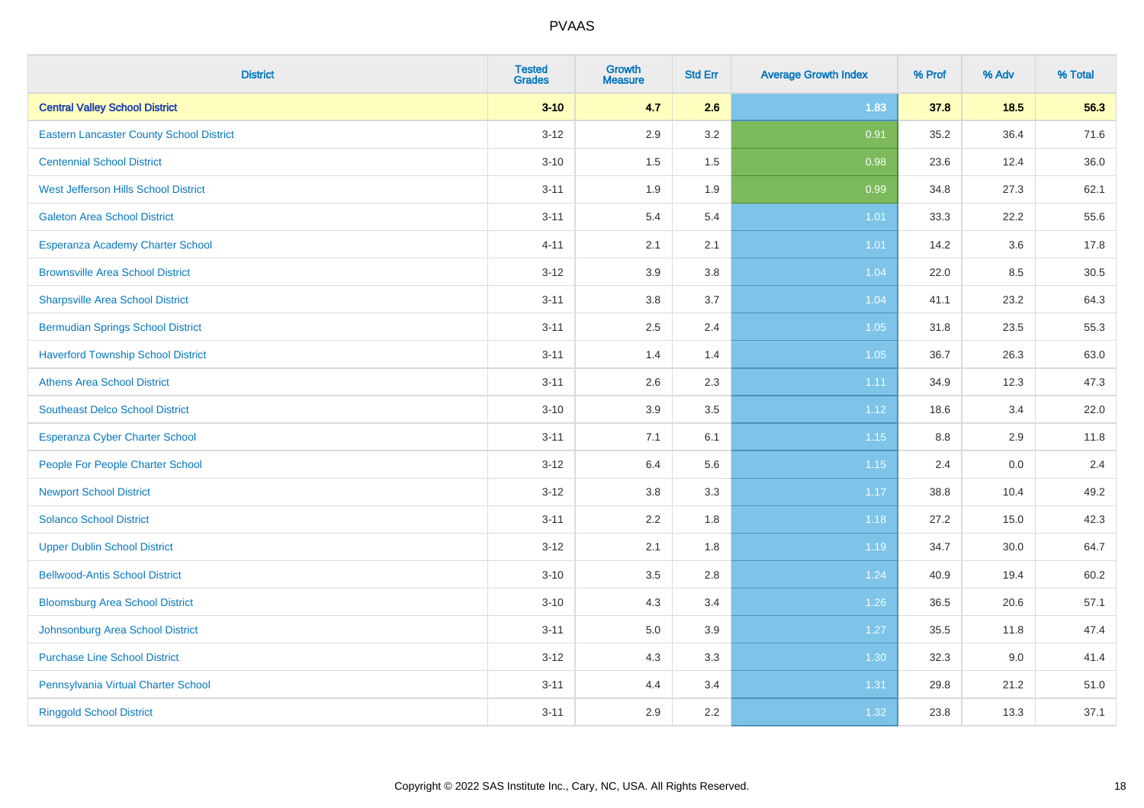| <b>District</b>                                 | <b>Tested</b><br><b>Grades</b> | <b>Growth</b><br><b>Measure</b> | <b>Std Err</b> | <b>Average Growth Index</b> | % Prof | % Adv | % Total |
|-------------------------------------------------|--------------------------------|---------------------------------|----------------|-----------------------------|--------|-------|---------|
| <b>Central Valley School District</b>           | $3 - 10$                       | 4.7                             | 2.6            | 1.83                        | 37.8   | 18.5  | 56.3    |
| <b>Eastern Lancaster County School District</b> | $3 - 12$                       | 2.9                             | 3.2            | 0.91                        | 35.2   | 36.4  | 71.6    |
| <b>Centennial School District</b>               | $3 - 10$                       | 1.5                             | 1.5            | 0.98                        | 23.6   | 12.4  | 36.0    |
| <b>West Jefferson Hills School District</b>     | $3 - 11$                       | 1.9                             | 1.9            | 0.99                        | 34.8   | 27.3  | 62.1    |
| <b>Galeton Area School District</b>             | $3 - 11$                       | 5.4                             | 5.4            | 1.01                        | 33.3   | 22.2  | 55.6    |
| Esperanza Academy Charter School                | $4 - 11$                       | 2.1                             | 2.1            | 1.01                        | 14.2   | 3.6   | 17.8    |
| <b>Brownsville Area School District</b>         | $3 - 12$                       | 3.9                             | 3.8            | 1.04                        | 22.0   | 8.5   | 30.5    |
| <b>Sharpsville Area School District</b>         | $3 - 11$                       | 3.8                             | 3.7            | 1.04                        | 41.1   | 23.2  | 64.3    |
| <b>Bermudian Springs School District</b>        | $3 - 11$                       | 2.5                             | 2.4            | 1.05                        | 31.8   | 23.5  | 55.3    |
| <b>Haverford Township School District</b>       | $3 - 11$                       | 1.4                             | 1.4            | 1.05                        | 36.7   | 26.3  | 63.0    |
| <b>Athens Area School District</b>              | $3 - 11$                       | 2.6                             | 2.3            | 1.11                        | 34.9   | 12.3  | 47.3    |
| <b>Southeast Delco School District</b>          | $3 - 10$                       | 3.9                             | 3.5            | 1.12                        | 18.6   | 3.4   | 22.0    |
| Esperanza Cyber Charter School                  | $3 - 11$                       | 7.1                             | 6.1            | 1.15                        | 8.8    | 2.9   | 11.8    |
| People For People Charter School                | $3 - 12$                       | 6.4                             | 5.6            | 1.15                        | 2.4    | 0.0   | 2.4     |
| <b>Newport School District</b>                  | $3 - 12$                       | $3.8\,$                         | 3.3            | 1.17                        | 38.8   | 10.4  | 49.2    |
| <b>Solanco School District</b>                  | $3 - 11$                       | 2.2                             | 1.8            | 1.18                        | 27.2   | 15.0  | 42.3    |
| <b>Upper Dublin School District</b>             | $3 - 12$                       | 2.1                             | 1.8            | 1.19                        | 34.7   | 30.0  | 64.7    |
| <b>Bellwood-Antis School District</b>           | $3 - 10$                       | 3.5                             | 2.8            | 1.24                        | 40.9   | 19.4  | 60.2    |
| <b>Bloomsburg Area School District</b>          | $3 - 10$                       | 4.3                             | 3.4            | 1.26                        | 36.5   | 20.6  | 57.1    |
| Johnsonburg Area School District                | $3 - 11$                       | 5.0                             | 3.9            | 1.27                        | 35.5   | 11.8  | 47.4    |
| <b>Purchase Line School District</b>            | $3 - 12$                       | 4.3                             | 3.3            | 1.30                        | 32.3   | 9.0   | 41.4    |
| Pennsylvania Virtual Charter School             | $3 - 11$                       | 4.4                             | 3.4            | 1.31                        | 29.8   | 21.2  | 51.0    |
| <b>Ringgold School District</b>                 | $3 - 11$                       | 2.9                             | 2.2            | 1.32                        | 23.8   | 13.3  | 37.1    |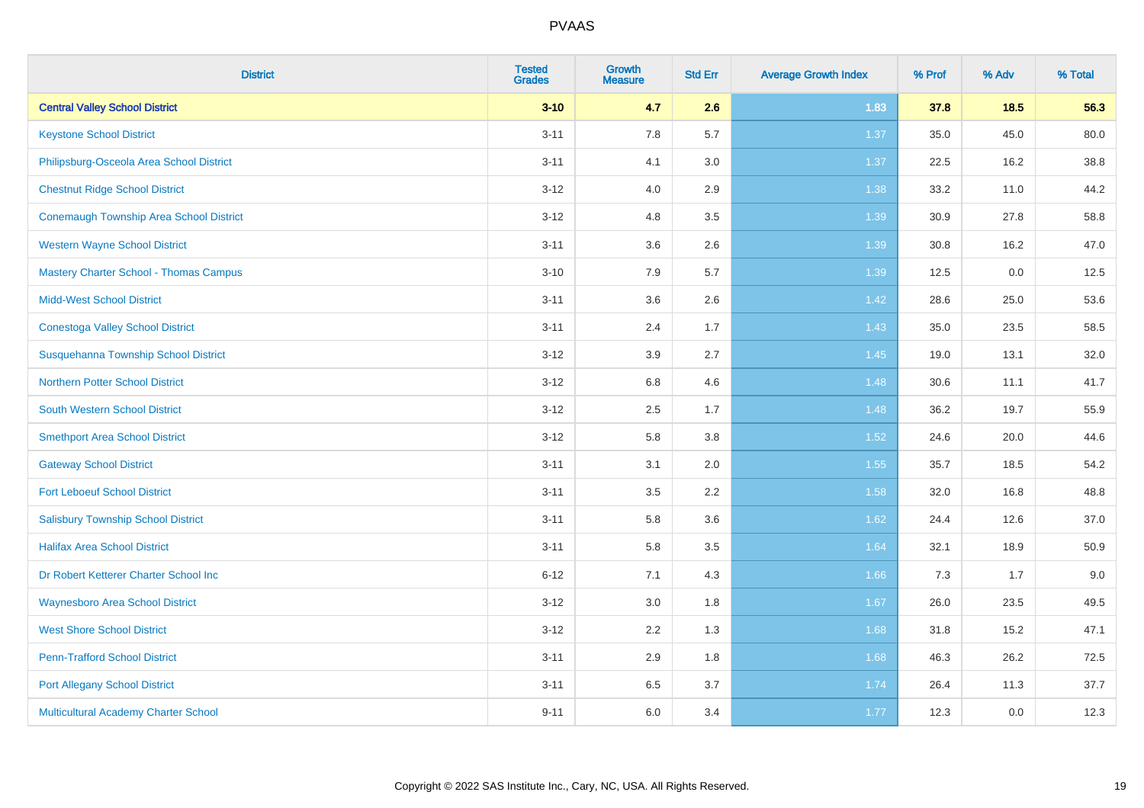| <b>District</b>                                | <b>Tested</b><br><b>Grades</b> | <b>Growth</b><br><b>Measure</b> | <b>Std Err</b> | <b>Average Growth Index</b> | % Prof | % Adv  | % Total |
|------------------------------------------------|--------------------------------|---------------------------------|----------------|-----------------------------|--------|--------|---------|
| <b>Central Valley School District</b>          | $3 - 10$                       | 4.7                             | 2.6            | 1.83                        | 37.8   | $18.5$ | 56.3    |
| <b>Keystone School District</b>                | $3 - 11$                       | 7.8                             | 5.7            | 1.37                        | 35.0   | 45.0   | 80.0    |
| Philipsburg-Osceola Area School District       | $3 - 11$                       | 4.1                             | 3.0            | 1.37                        | 22.5   | 16.2   | 38.8    |
| <b>Chestnut Ridge School District</b>          | $3 - 12$                       | 4.0                             | 2.9            | 1.38                        | 33.2   | 11.0   | 44.2    |
| <b>Conemaugh Township Area School District</b> | $3 - 12$                       | 4.8                             | 3.5            | 1.39                        | 30.9   | 27.8   | 58.8    |
| <b>Western Wayne School District</b>           | $3 - 11$                       | 3.6                             | 2.6            | 1.39                        | 30.8   | 16.2   | 47.0    |
| <b>Mastery Charter School - Thomas Campus</b>  | $3 - 10$                       | 7.9                             | 5.7            | 1.39                        | 12.5   | 0.0    | 12.5    |
| <b>Midd-West School District</b>               | $3 - 11$                       | 3.6                             | 2.6            | 1.42                        | 28.6   | 25.0   | 53.6    |
| <b>Conestoga Valley School District</b>        | $3 - 11$                       | 2.4                             | 1.7            | 1.43                        | 35.0   | 23.5   | 58.5    |
| Susquehanna Township School District           | $3 - 12$                       | 3.9                             | 2.7            | 1.45                        | 19.0   | 13.1   | 32.0    |
| <b>Northern Potter School District</b>         | $3 - 12$                       | 6.8                             | 4.6            | 1.48                        | 30.6   | 11.1   | 41.7    |
| <b>South Western School District</b>           | $3 - 12$                       | 2.5                             | 1.7            | 1.48                        | 36.2   | 19.7   | 55.9    |
| <b>Smethport Area School District</b>          | $3 - 12$                       | 5.8                             | 3.8            | 1.52                        | 24.6   | 20.0   | 44.6    |
| <b>Gateway School District</b>                 | $3 - 11$                       | 3.1                             | 2.0            | 1.55                        | 35.7   | 18.5   | 54.2    |
| <b>Fort Leboeuf School District</b>            | $3 - 11$                       | 3.5                             | 2.2            | 1.58                        | 32.0   | 16.8   | 48.8    |
| <b>Salisbury Township School District</b>      | $3 - 11$                       | 5.8                             | 3.6            | 1.62                        | 24.4   | 12.6   | 37.0    |
| <b>Halifax Area School District</b>            | $3 - 11$                       | 5.8                             | 3.5            | 1.64                        | 32.1   | 18.9   | 50.9    |
| Dr Robert Ketterer Charter School Inc          | $6 - 12$                       | 7.1                             | 4.3            | 1.66                        | 7.3    | 1.7    | 9.0     |
| <b>Waynesboro Area School District</b>         | $3 - 12$                       | 3.0                             | 1.8            | 1.67                        | 26.0   | 23.5   | 49.5    |
| <b>West Shore School District</b>              | $3 - 12$                       | 2.2                             | 1.3            | 1.68                        | 31.8   | 15.2   | 47.1    |
| <b>Penn-Trafford School District</b>           | $3 - 11$                       | 2.9                             | 1.8            | 1.68                        | 46.3   | 26.2   | 72.5    |
| <b>Port Allegany School District</b>           | $3 - 11$                       | 6.5                             | 3.7            | 1.74                        | 26.4   | 11.3   | 37.7    |
| Multicultural Academy Charter School           | $9 - 11$                       | 6.0                             | 3.4            | 1.77                        | 12.3   | 0.0    | 12.3    |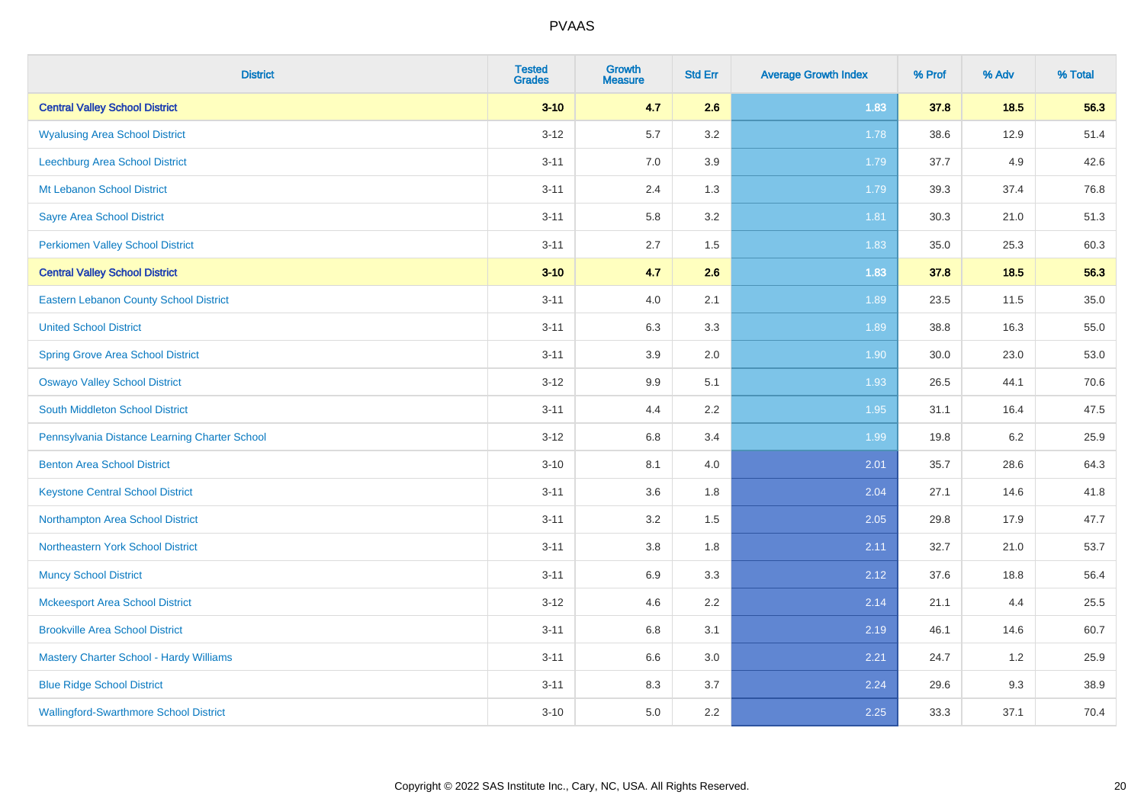| <b>District</b>                               | <b>Tested</b><br><b>Grades</b> | <b>Growth</b><br><b>Measure</b> | <b>Std Err</b> | <b>Average Growth Index</b> | % Prof | % Adv  | % Total |
|-----------------------------------------------|--------------------------------|---------------------------------|----------------|-----------------------------|--------|--------|---------|
| <b>Central Valley School District</b>         | $3 - 10$                       | 4.7                             | 2.6            | 1.83                        | 37.8   | $18.5$ | 56.3    |
| <b>Wyalusing Area School District</b>         | $3 - 12$                       | 5.7                             | 3.2            | 1.78                        | 38.6   | 12.9   | 51.4    |
| Leechburg Area School District                | $3 - 11$                       | 7.0                             | 3.9            | 1.79                        | 37.7   | 4.9    | 42.6    |
| Mt Lebanon School District                    | $3 - 11$                       | 2.4                             | 1.3            | 1.79                        | 39.3   | 37.4   | 76.8    |
| <b>Sayre Area School District</b>             | $3 - 11$                       | 5.8                             | 3.2            | 1.81                        | 30.3   | 21.0   | 51.3    |
| <b>Perkiomen Valley School District</b>       | $3 - 11$                       | 2.7                             | 1.5            | 1.83                        | 35.0   | 25.3   | 60.3    |
| <b>Central Valley School District</b>         | $3 - 10$                       | 4.7                             | 2.6            | 1.83                        | 37.8   | $18.5$ | 56.3    |
| <b>Eastern Lebanon County School District</b> | $3 - 11$                       | 4.0                             | 2.1            | 1.89                        | 23.5   | 11.5   | 35.0    |
| <b>United School District</b>                 | $3 - 11$                       | 6.3                             | 3.3            | 1.89                        | 38.8   | 16.3   | 55.0    |
| <b>Spring Grove Area School District</b>      | $3 - 11$                       | 3.9                             | 2.0            | 1.90                        | 30.0   | 23.0   | 53.0    |
| <b>Oswayo Valley School District</b>          | $3 - 12$                       | 9.9                             | 5.1            | 1.93                        | 26.5   | 44.1   | 70.6    |
| South Middleton School District               | $3 - 11$                       | 4.4                             | 2.2            | 1.95                        | 31.1   | 16.4   | 47.5    |
| Pennsylvania Distance Learning Charter School | $3 - 12$                       | $6.8\,$                         | 3.4            | 1.99                        | 19.8   | 6.2    | 25.9    |
| <b>Benton Area School District</b>            | $3 - 10$                       | 8.1                             | 4.0            | 2.01                        | 35.7   | 28.6   | 64.3    |
| <b>Keystone Central School District</b>       | $3 - 11$                       | 3.6                             | 1.8            | 2.04                        | 27.1   | 14.6   | 41.8    |
| Northampton Area School District              | $3 - 11$                       | 3.2                             | 1.5            | 2.05                        | 29.8   | 17.9   | 47.7    |
| Northeastern York School District             | $3 - 11$                       | 3.8                             | 1.8            | 2.11                        | 32.7   | 21.0   | 53.7    |
| <b>Muncy School District</b>                  | $3 - 11$                       | 6.9                             | 3.3            | 2.12                        | 37.6   | 18.8   | 56.4    |
| <b>Mckeesport Area School District</b>        | $3 - 12$                       | 4.6                             | 2.2            | 2.14                        | 21.1   | 4.4    | 25.5    |
| <b>Brookville Area School District</b>        | $3 - 11$                       | $6.8\,$                         | 3.1            | 2.19                        | 46.1   | 14.6   | 60.7    |
| Mastery Charter School - Hardy Williams       | $3 - 11$                       | 6.6                             | 3.0            | 2.21                        | 24.7   | 1.2    | 25.9    |
| <b>Blue Ridge School District</b>             | $3 - 11$                       | 8.3                             | 3.7            | 2.24                        | 29.6   | 9.3    | 38.9    |
| <b>Wallingford-Swarthmore School District</b> | $3 - 10$                       | 5.0                             | 2.2            | 2.25                        | 33.3   | 37.1   | 70.4    |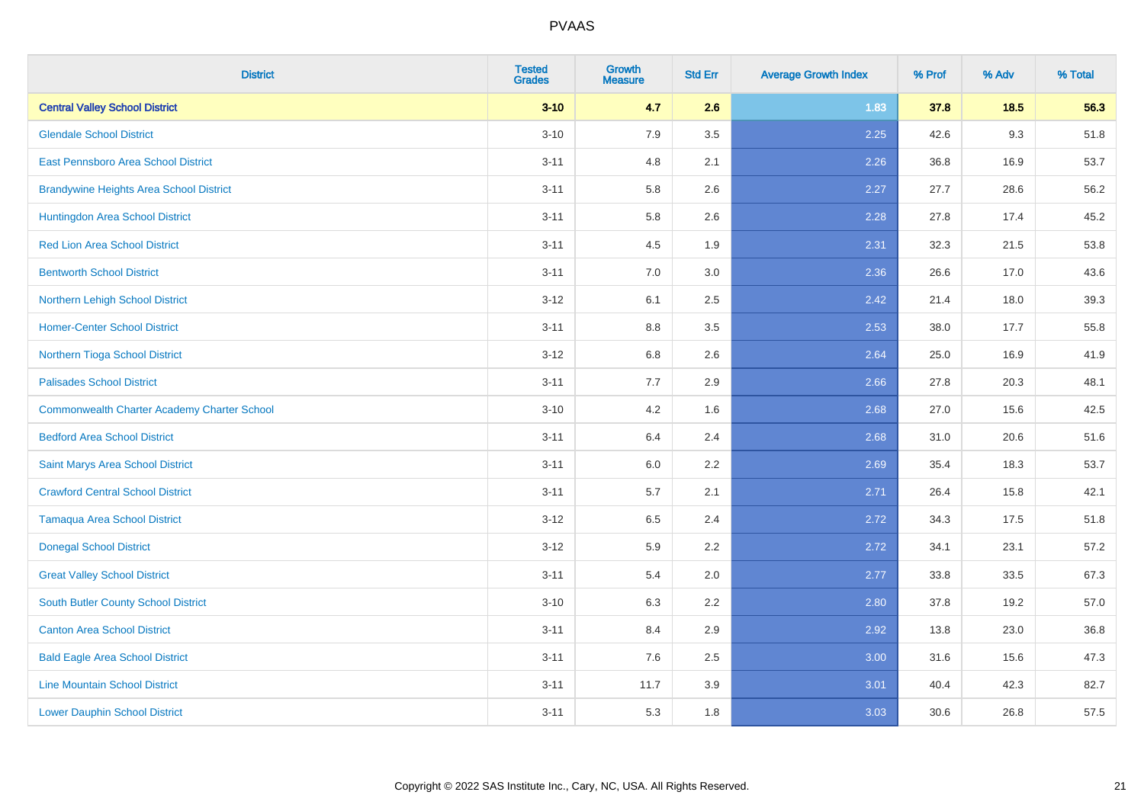| <b>District</b>                                    | <b>Tested</b><br><b>Grades</b> | <b>Growth</b><br><b>Measure</b> | <b>Std Err</b> | <b>Average Growth Index</b> | % Prof | % Adv  | % Total |
|----------------------------------------------------|--------------------------------|---------------------------------|----------------|-----------------------------|--------|--------|---------|
| <b>Central Valley School District</b>              | $3 - 10$                       | 4.7                             | 2.6            | 1.83                        | 37.8   | $18.5$ | 56.3    |
| <b>Glendale School District</b>                    | $3 - 10$                       | 7.9                             | 3.5            | 2.25                        | 42.6   | 9.3    | 51.8    |
| <b>East Pennsboro Area School District</b>         | $3 - 11$                       | 4.8                             | 2.1            | 2.26                        | 36.8   | 16.9   | 53.7    |
| <b>Brandywine Heights Area School District</b>     | $3 - 11$                       | 5.8                             | 2.6            | 2.27                        | 27.7   | 28.6   | 56.2    |
| Huntingdon Area School District                    | $3 - 11$                       | 5.8                             | 2.6            | 2.28                        | 27.8   | 17.4   | 45.2    |
| <b>Red Lion Area School District</b>               | $3 - 11$                       | 4.5                             | 1.9            | 2.31                        | 32.3   | 21.5   | 53.8    |
| <b>Bentworth School District</b>                   | $3 - 11$                       | 7.0                             | 3.0            | 2.36                        | 26.6   | 17.0   | 43.6    |
| Northern Lehigh School District                    | $3 - 12$                       | 6.1                             | 2.5            | 2.42                        | 21.4   | 18.0   | 39.3    |
| <b>Homer-Center School District</b>                | $3 - 11$                       | 8.8                             | 3.5            | 2.53                        | 38.0   | 17.7   | 55.8    |
| Northern Tioga School District                     | $3 - 12$                       | 6.8                             | 2.6            | 2.64                        | 25.0   | 16.9   | 41.9    |
| <b>Palisades School District</b>                   | $3 - 11$                       | 7.7                             | 2.9            | 2.66                        | 27.8   | 20.3   | 48.1    |
| <b>Commonwealth Charter Academy Charter School</b> | $3 - 10$                       | 4.2                             | 1.6            | 2.68                        | 27.0   | 15.6   | 42.5    |
| <b>Bedford Area School District</b>                | $3 - 11$                       | 6.4                             | 2.4            | 2.68                        | 31.0   | 20.6   | 51.6    |
| Saint Marys Area School District                   | $3 - 11$                       | 6.0                             | 2.2            | 2.69                        | 35.4   | 18.3   | 53.7    |
| <b>Crawford Central School District</b>            | $3 - 11$                       | 5.7                             | 2.1            | 2.71                        | 26.4   | 15.8   | 42.1    |
| Tamaqua Area School District                       | $3 - 12$                       | 6.5                             | 2.4            | 2.72                        | 34.3   | 17.5   | 51.8    |
| <b>Donegal School District</b>                     | $3 - 12$                       | 5.9                             | 2.2            | 2.72                        | 34.1   | 23.1   | 57.2    |
| <b>Great Valley School District</b>                | $3 - 11$                       | 5.4                             | 2.0            | 2.77                        | 33.8   | 33.5   | 67.3    |
| <b>South Butler County School District</b>         | $3 - 10$                       | 6.3                             | 2.2            | 2.80                        | 37.8   | 19.2   | 57.0    |
| <b>Canton Area School District</b>                 | $3 - 11$                       | 8.4                             | 2.9            | 2.92                        | 13.8   | 23.0   | 36.8    |
| <b>Bald Eagle Area School District</b>             | $3 - 11$                       | 7.6                             | 2.5            | 3.00                        | 31.6   | 15.6   | 47.3    |
| <b>Line Mountain School District</b>               | $3 - 11$                       | 11.7                            | 3.9            | 3.01                        | 40.4   | 42.3   | 82.7    |
| <b>Lower Dauphin School District</b>               | $3 - 11$                       | 5.3                             | 1.8            | 3.03                        | 30.6   | 26.8   | 57.5    |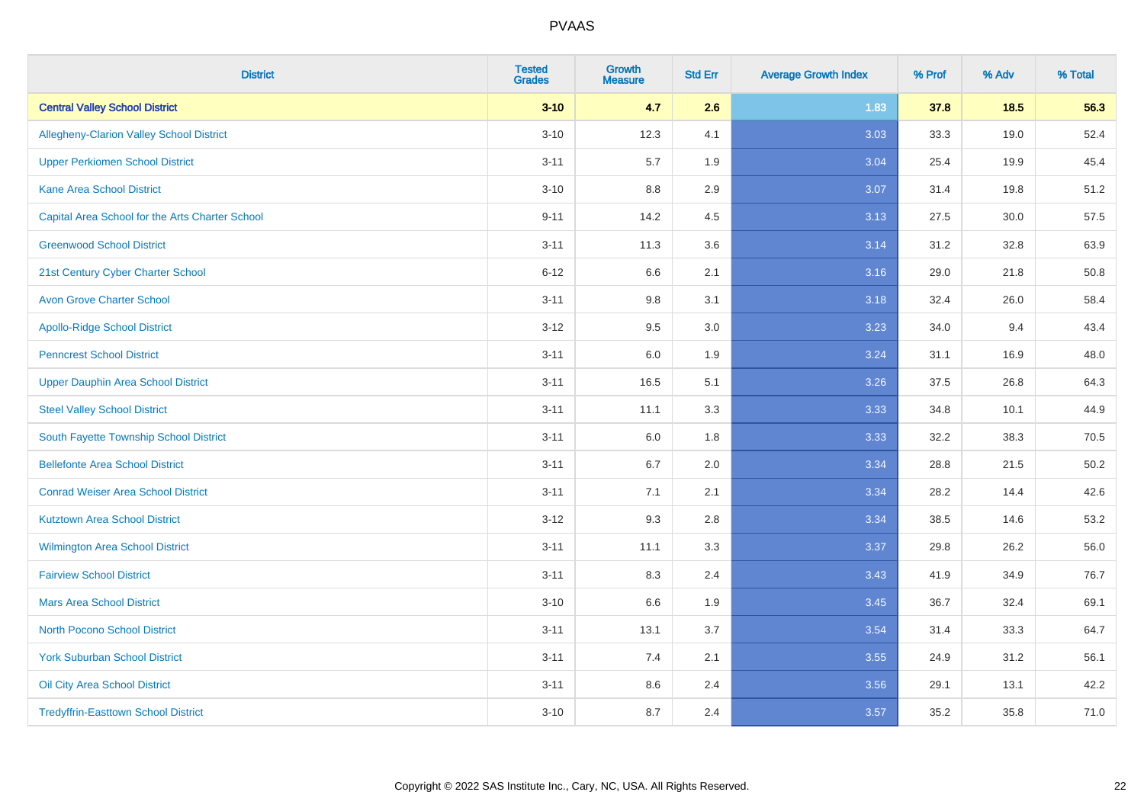| <b>District</b>                                 | <b>Tested</b><br><b>Grades</b> | <b>Growth</b><br><b>Measure</b> | <b>Std Err</b> | <b>Average Growth Index</b> | % Prof | % Adv  | % Total |
|-------------------------------------------------|--------------------------------|---------------------------------|----------------|-----------------------------|--------|--------|---------|
| <b>Central Valley School District</b>           | $3 - 10$                       | 4.7                             | 2.6            | 1.83                        | 37.8   | $18.5$ | 56.3    |
| Allegheny-Clarion Valley School District        | $3 - 10$                       | 12.3                            | 4.1            | 3.03                        | 33.3   | 19.0   | 52.4    |
| <b>Upper Perkiomen School District</b>          | $3 - 11$                       | 5.7                             | 1.9            | 3.04                        | 25.4   | 19.9   | 45.4    |
| <b>Kane Area School District</b>                | $3 - 10$                       | 8.8                             | 2.9            | 3.07                        | 31.4   | 19.8   | 51.2    |
| Capital Area School for the Arts Charter School | $9 - 11$                       | 14.2                            | 4.5            | 3.13                        | 27.5   | 30.0   | 57.5    |
| <b>Greenwood School District</b>                | $3 - 11$                       | 11.3                            | 3.6            | 3.14                        | 31.2   | 32.8   | 63.9    |
| 21st Century Cyber Charter School               | $6 - 12$                       | 6.6                             | 2.1            | 3.16                        | 29.0   | 21.8   | 50.8    |
| <b>Avon Grove Charter School</b>                | $3 - 11$                       | $9.8\,$                         | 3.1            | 3.18                        | 32.4   | 26.0   | 58.4    |
| <b>Apollo-Ridge School District</b>             | $3 - 12$                       | 9.5                             | 3.0            | 3.23                        | 34.0   | 9.4    | 43.4    |
| <b>Penncrest School District</b>                | $3 - 11$                       | 6.0                             | 1.9            | 3.24                        | 31.1   | 16.9   | 48.0    |
| Upper Dauphin Area School District              | $3 - 11$                       | 16.5                            | 5.1            | 3.26                        | 37.5   | 26.8   | 64.3    |
| <b>Steel Valley School District</b>             | $3 - 11$                       | 11.1                            | 3.3            | 3.33                        | 34.8   | 10.1   | 44.9    |
| South Fayette Township School District          | $3 - 11$                       | 6.0                             | 1.8            | 3.33                        | 32.2   | 38.3   | 70.5    |
| <b>Bellefonte Area School District</b>          | $3 - 11$                       | 6.7                             | 2.0            | 3.34                        | 28.8   | 21.5   | 50.2    |
| <b>Conrad Weiser Area School District</b>       | $3 - 11$                       | 7.1                             | 2.1            | 3.34                        | 28.2   | 14.4   | 42.6    |
| <b>Kutztown Area School District</b>            | $3-12$                         | 9.3                             | 2.8            | 3.34                        | 38.5   | 14.6   | 53.2    |
| Wilmington Area School District                 | $3 - 11$                       | 11.1                            | 3.3            | 3.37                        | 29.8   | 26.2   | 56.0    |
| <b>Fairview School District</b>                 | $3 - 11$                       | 8.3                             | 2.4            | 3.43                        | 41.9   | 34.9   | 76.7    |
| <b>Mars Area School District</b>                | $3 - 10$                       | 6.6                             | 1.9            | 3.45                        | 36.7   | 32.4   | 69.1    |
| <b>North Pocono School District</b>             | $3 - 11$                       | 13.1                            | 3.7            | 3.54                        | 31.4   | 33.3   | 64.7    |
| <b>York Suburban School District</b>            | $3 - 11$                       | 7.4                             | 2.1            | 3.55                        | 24.9   | 31.2   | 56.1    |
| Oil City Area School District                   | $3 - 11$                       | $8.6\,$                         | 2.4            | 3.56                        | 29.1   | 13.1   | 42.2    |
| <b>Tredyffrin-Easttown School District</b>      | $3 - 10$                       | 8.7                             | 2.4            | 3.57                        | 35.2   | 35.8   | 71.0    |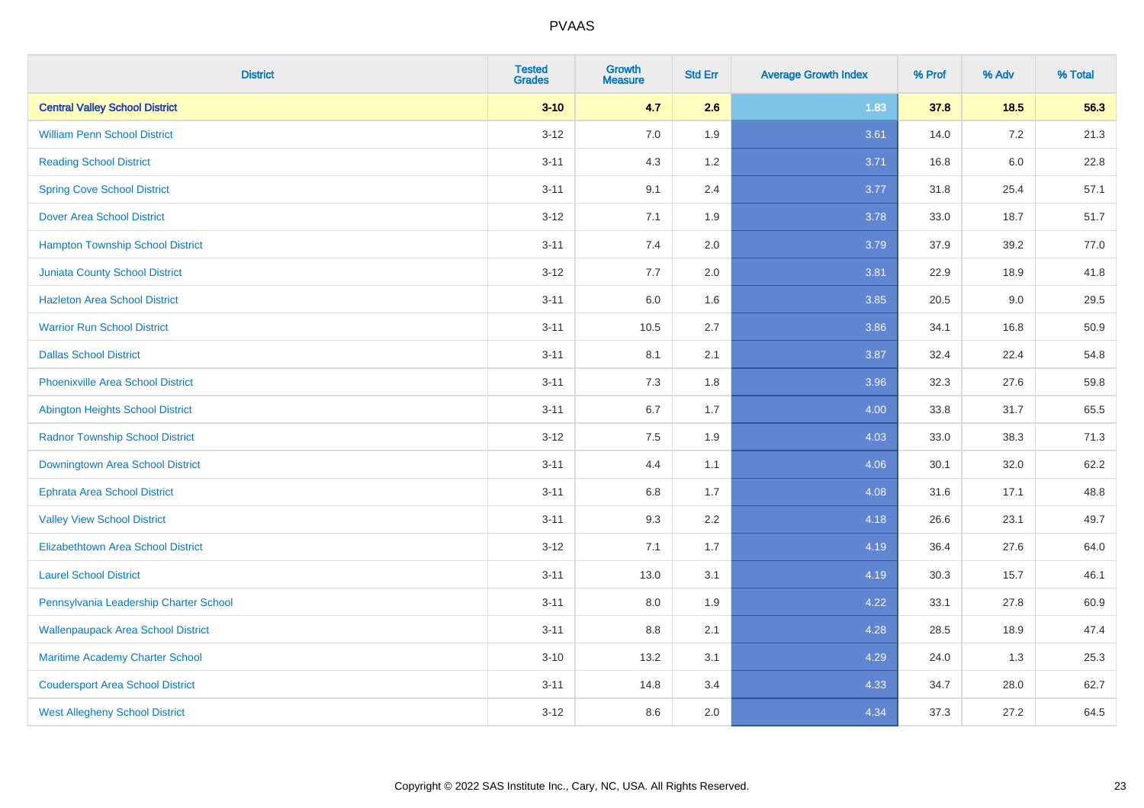| <b>District</b>                           | <b>Tested</b><br><b>Grades</b> | <b>Growth</b><br><b>Measure</b> | <b>Std Err</b> | <b>Average Growth Index</b> | % Prof | % Adv   | % Total |
|-------------------------------------------|--------------------------------|---------------------------------|----------------|-----------------------------|--------|---------|---------|
| <b>Central Valley School District</b>     | $3 - 10$                       | 4.7                             | 2.6            | 1.83                        | 37.8   | 18.5    | 56.3    |
| <b>William Penn School District</b>       | $3 - 12$                       | 7.0                             | 1.9            | 3.61                        | 14.0   | $7.2\,$ | 21.3    |
| <b>Reading School District</b>            | $3 - 11$                       | 4.3                             | 1.2            | 3.71                        | 16.8   | $6.0\,$ | 22.8    |
| <b>Spring Cove School District</b>        | $3 - 11$                       | 9.1                             | 2.4            | 3.77                        | 31.8   | 25.4    | 57.1    |
| <b>Dover Area School District</b>         | $3 - 12$                       | 7.1                             | 1.9            | 3.78                        | 33.0   | 18.7    | 51.7    |
| <b>Hampton Township School District</b>   | $3 - 11$                       | 7.4                             | 2.0            | 3.79                        | 37.9   | 39.2    | 77.0    |
| <b>Juniata County School District</b>     | $3 - 12$                       | 7.7                             | 2.0            | 3.81                        | 22.9   | 18.9    | 41.8    |
| <b>Hazleton Area School District</b>      | $3 - 11$                       | 6.0                             | 1.6            | 3.85                        | 20.5   | 9.0     | 29.5    |
| <b>Warrior Run School District</b>        | $3 - 11$                       | 10.5                            | 2.7            | 3.86                        | 34.1   | 16.8    | 50.9    |
| <b>Dallas School District</b>             | $3 - 11$                       | 8.1                             | 2.1            | 3.87                        | 32.4   | 22.4    | 54.8    |
| <b>Phoenixville Area School District</b>  | $3 - 11$                       | 7.3                             | 1.8            | 3.96                        | 32.3   | 27.6    | 59.8    |
| Abington Heights School District          | $3 - 11$                       | 6.7                             | 1.7            | 4.00                        | 33.8   | 31.7    | 65.5    |
| <b>Radnor Township School District</b>    | $3 - 12$                       | $7.5\,$                         | 1.9            | 4.03                        | 33.0   | 38.3    | 71.3    |
| Downingtown Area School District          | $3 - 11$                       | 4.4                             | 1.1            | 4.06                        | 30.1   | 32.0    | 62.2    |
| <b>Ephrata Area School District</b>       | $3 - 11$                       | 6.8                             | 1.7            | 4.08                        | 31.6   | 17.1    | 48.8    |
| <b>Valley View School District</b>        | $3 - 11$                       | 9.3                             | 2.2            | 4.18                        | 26.6   | 23.1    | 49.7    |
| <b>Elizabethtown Area School District</b> | $3 - 12$                       | 7.1                             | 1.7            | 4.19                        | 36.4   | 27.6    | 64.0    |
| <b>Laurel School District</b>             | $3 - 11$                       | 13.0                            | 3.1            | 4.19                        | 30.3   | 15.7    | 46.1    |
| Pennsylvania Leadership Charter School    | $3 - 11$                       | 8.0                             | 1.9            | 4.22                        | 33.1   | 27.8    | 60.9    |
| <b>Wallenpaupack Area School District</b> | $3 - 11$                       | 8.8                             | 2.1            | 4.28                        | 28.5   | 18.9    | 47.4    |
| Maritime Academy Charter School           | $3 - 10$                       | 13.2                            | 3.1            | 4.29                        | 24.0   | 1.3     | 25.3    |
| <b>Coudersport Area School District</b>   | $3 - 11$                       | 14.8                            | 3.4            | 4.33                        | 34.7   | 28.0    | 62.7    |
| <b>West Allegheny School District</b>     | $3 - 12$                       | 8.6                             | 2.0            | 4.34                        | 37.3   | 27.2    | 64.5    |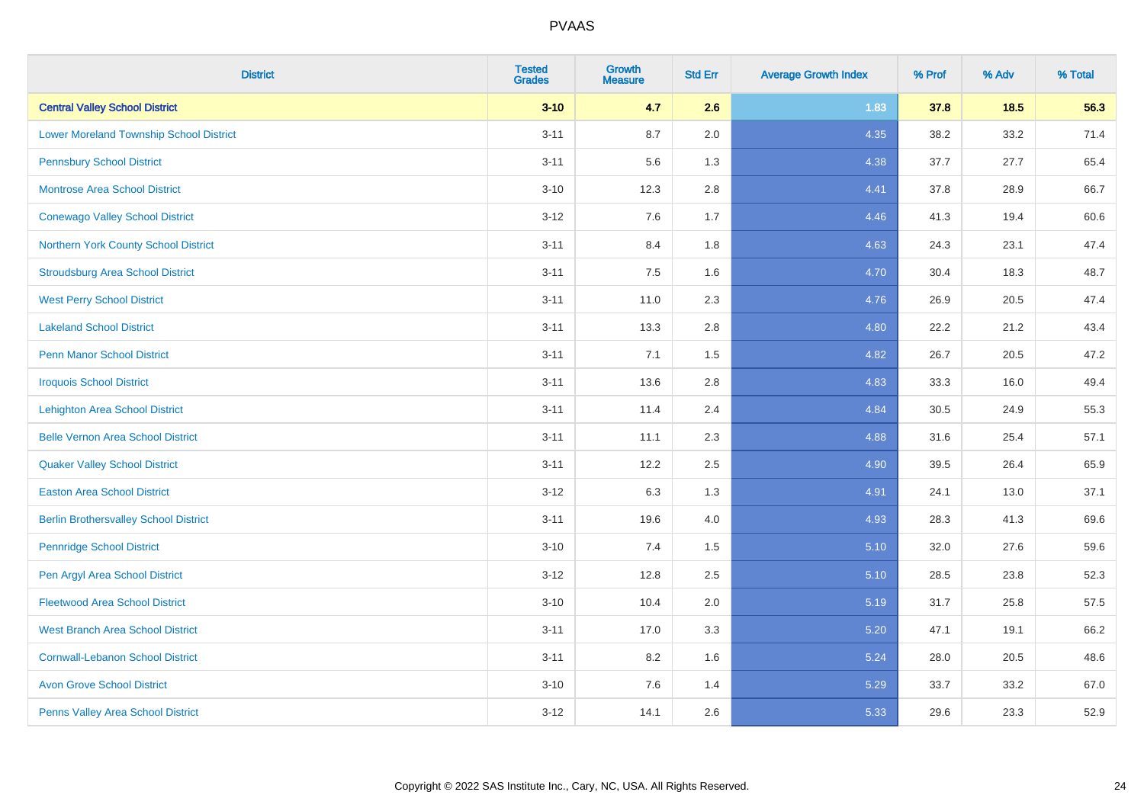| <b>District</b>                                | <b>Tested</b><br><b>Grades</b> | <b>Growth</b><br><b>Measure</b> | <b>Std Err</b> | <b>Average Growth Index</b> | % Prof | % Adv | % Total |
|------------------------------------------------|--------------------------------|---------------------------------|----------------|-----------------------------|--------|-------|---------|
| <b>Central Valley School District</b>          | $3 - 10$                       | 4.7                             | 2.6            | 1.83                        | 37.8   | 18.5  | 56.3    |
| <b>Lower Moreland Township School District</b> | $3 - 11$                       | 8.7                             | 2.0            | 4.35                        | 38.2   | 33.2  | 71.4    |
| <b>Pennsbury School District</b>               | $3 - 11$                       | 5.6                             | 1.3            | 4.38                        | 37.7   | 27.7  | 65.4    |
| <b>Montrose Area School District</b>           | $3 - 10$                       | 12.3                            | 2.8            | 4.41                        | 37.8   | 28.9  | 66.7    |
| <b>Conewago Valley School District</b>         | $3 - 12$                       | 7.6                             | 1.7            | 4.46                        | 41.3   | 19.4  | 60.6    |
| Northern York County School District           | $3 - 11$                       | 8.4                             | 1.8            | 4.63                        | 24.3   | 23.1  | 47.4    |
| <b>Stroudsburg Area School District</b>        | $3 - 11$                       | 7.5                             | 1.6            | 4.70                        | 30.4   | 18.3  | 48.7    |
| <b>West Perry School District</b>              | $3 - 11$                       | 11.0                            | 2.3            | 4.76                        | 26.9   | 20.5  | 47.4    |
| <b>Lakeland School District</b>                | $3 - 11$                       | 13.3                            | 2.8            | 4.80                        | 22.2   | 21.2  | 43.4    |
| <b>Penn Manor School District</b>              | $3 - 11$                       | 7.1                             | 1.5            | 4.82                        | 26.7   | 20.5  | 47.2    |
| <b>Iroquois School District</b>                | $3 - 11$                       | 13.6                            | 2.8            | 4.83                        | 33.3   | 16.0  | 49.4    |
| <b>Lehighton Area School District</b>          | $3 - 11$                       | 11.4                            | 2.4            | 4.84                        | 30.5   | 24.9  | 55.3    |
| <b>Belle Vernon Area School District</b>       | $3 - 11$                       | 11.1                            | 2.3            | 4.88                        | 31.6   | 25.4  | 57.1    |
| <b>Quaker Valley School District</b>           | $3 - 11$                       | 12.2                            | 2.5            | 4.90                        | 39.5   | 26.4  | 65.9    |
| <b>Easton Area School District</b>             | $3 - 12$                       | 6.3                             | 1.3            | 4.91                        | 24.1   | 13.0  | 37.1    |
| <b>Berlin Brothersvalley School District</b>   | $3 - 11$                       | 19.6                            | 4.0            | 4.93                        | 28.3   | 41.3  | 69.6    |
| <b>Pennridge School District</b>               | $3 - 10$                       | 7.4                             | 1.5            | 5.10                        | 32.0   | 27.6  | 59.6    |
| Pen Argyl Area School District                 | $3 - 12$                       | 12.8                            | 2.5            | 5.10                        | 28.5   | 23.8  | 52.3    |
| <b>Fleetwood Area School District</b>          | $3 - 10$                       | 10.4                            | 2.0            | 5.19                        | 31.7   | 25.8  | 57.5    |
| <b>West Branch Area School District</b>        | $3 - 11$                       | 17.0                            | 3.3            | 5.20                        | 47.1   | 19.1  | 66.2    |
| <b>Cornwall-Lebanon School District</b>        | $3 - 11$                       | 8.2                             | 1.6            | 5.24                        | 28.0   | 20.5  | 48.6    |
| <b>Avon Grove School District</b>              | $3 - 10$                       | 7.6                             | 1.4            | 5.29                        | 33.7   | 33.2  | 67.0    |
| Penns Valley Area School District              | $3 - 12$                       | 14.1                            | 2.6            | 5.33                        | 29.6   | 23.3  | 52.9    |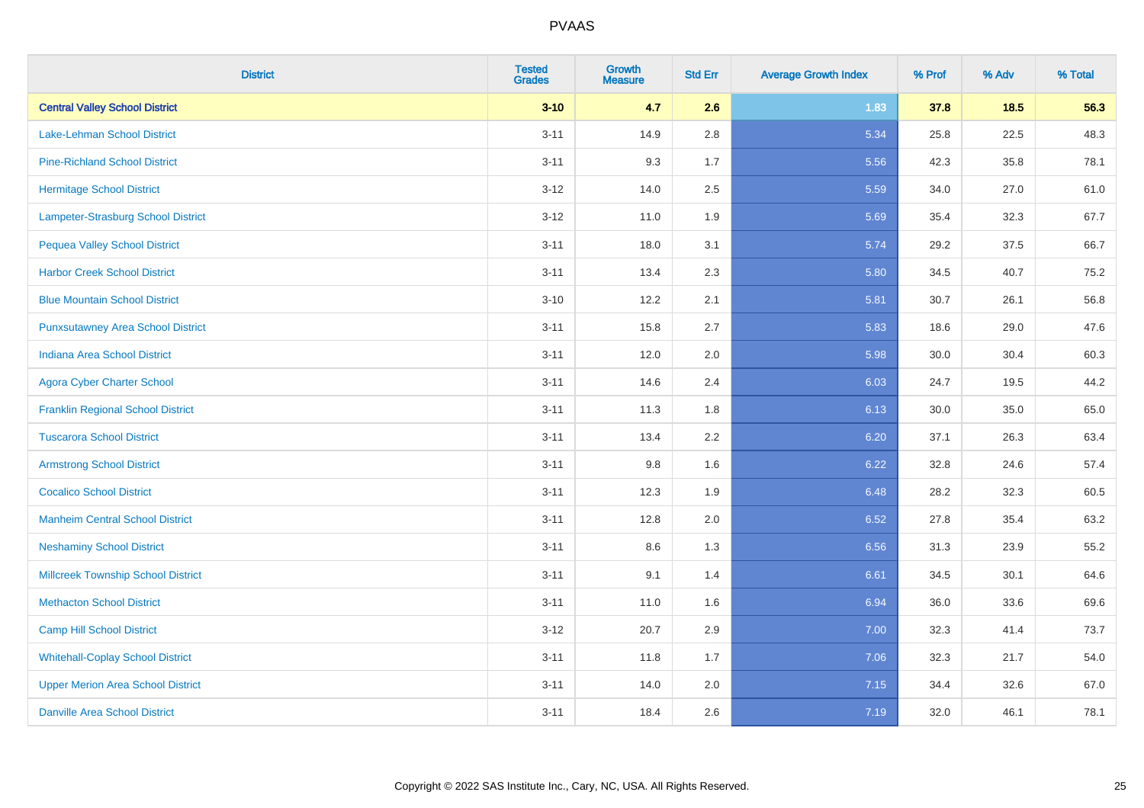| <b>District</b>                           | <b>Tested</b><br><b>Grades</b> | <b>Growth</b><br><b>Measure</b> | <b>Std Err</b> | <b>Average Growth Index</b> | % Prof | % Adv | % Total |
|-------------------------------------------|--------------------------------|---------------------------------|----------------|-----------------------------|--------|-------|---------|
| <b>Central Valley School District</b>     | $3 - 10$                       | 4.7                             | 2.6            | 1.83                        | 37.8   | 18.5  | 56.3    |
| <b>Lake-Lehman School District</b>        | $3 - 11$                       | 14.9                            | 2.8            | 5.34                        | 25.8   | 22.5  | 48.3    |
| <b>Pine-Richland School District</b>      | $3 - 11$                       | 9.3                             | 1.7            | 5.56                        | 42.3   | 35.8  | 78.1    |
| <b>Hermitage School District</b>          | $3 - 12$                       | 14.0                            | 2.5            | 5.59                        | 34.0   | 27.0  | 61.0    |
| Lampeter-Strasburg School District        | $3-12$                         | 11.0                            | 1.9            | 5.69                        | 35.4   | 32.3  | 67.7    |
| <b>Pequea Valley School District</b>      | $3 - 11$                       | 18.0                            | 3.1            | 5.74                        | 29.2   | 37.5  | 66.7    |
| <b>Harbor Creek School District</b>       | $3 - 11$                       | 13.4                            | 2.3            | 5.80                        | 34.5   | 40.7  | 75.2    |
| <b>Blue Mountain School District</b>      | $3 - 10$                       | 12.2                            | 2.1            | 5.81                        | 30.7   | 26.1  | 56.8    |
| <b>Punxsutawney Area School District</b>  | $3 - 11$                       | 15.8                            | 2.7            | 5.83                        | 18.6   | 29.0  | 47.6    |
| <b>Indiana Area School District</b>       | $3 - 11$                       | 12.0                            | 2.0            | 5.98                        | 30.0   | 30.4  | 60.3    |
| <b>Agora Cyber Charter School</b>         | $3 - 11$                       | 14.6                            | 2.4            | 6.03                        | 24.7   | 19.5  | 44.2    |
| <b>Franklin Regional School District</b>  | $3 - 11$                       | 11.3                            | 1.8            | 6.13                        | 30.0   | 35.0  | 65.0    |
| <b>Tuscarora School District</b>          | $3 - 11$                       | 13.4                            | 2.2            | 6.20                        | 37.1   | 26.3  | 63.4    |
| <b>Armstrong School District</b>          | $3 - 11$                       | 9.8                             | 1.6            | 6.22                        | 32.8   | 24.6  | 57.4    |
| <b>Cocalico School District</b>           | $3 - 11$                       | 12.3                            | 1.9            | 6.48                        | 28.2   | 32.3  | 60.5    |
| <b>Manheim Central School District</b>    | $3 - 11$                       | 12.8                            | 2.0            | 6.52                        | 27.8   | 35.4  | 63.2    |
| <b>Neshaminy School District</b>          | $3 - 11$                       | 8.6                             | 1.3            | 6.56                        | 31.3   | 23.9  | 55.2    |
| <b>Millcreek Township School District</b> | $3 - 11$                       | 9.1                             | 1.4            | 6.61                        | 34.5   | 30.1  | 64.6    |
| <b>Methacton School District</b>          | $3 - 11$                       | 11.0                            | 1.6            | 6.94                        | 36.0   | 33.6  | 69.6    |
| <b>Camp Hill School District</b>          | $3-12$                         | 20.7                            | 2.9            | 7.00                        | 32.3   | 41.4  | 73.7    |
| <b>Whitehall-Coplay School District</b>   | $3 - 11$                       | 11.8                            | 1.7            | 7.06                        | 32.3   | 21.7  | 54.0    |
| <b>Upper Merion Area School District</b>  | $3 - 11$                       | 14.0                            | 2.0            | 7.15                        | 34.4   | 32.6  | 67.0    |
| <b>Danville Area School District</b>      | $3 - 11$                       | 18.4                            | 2.6            | 7.19                        | 32.0   | 46.1  | 78.1    |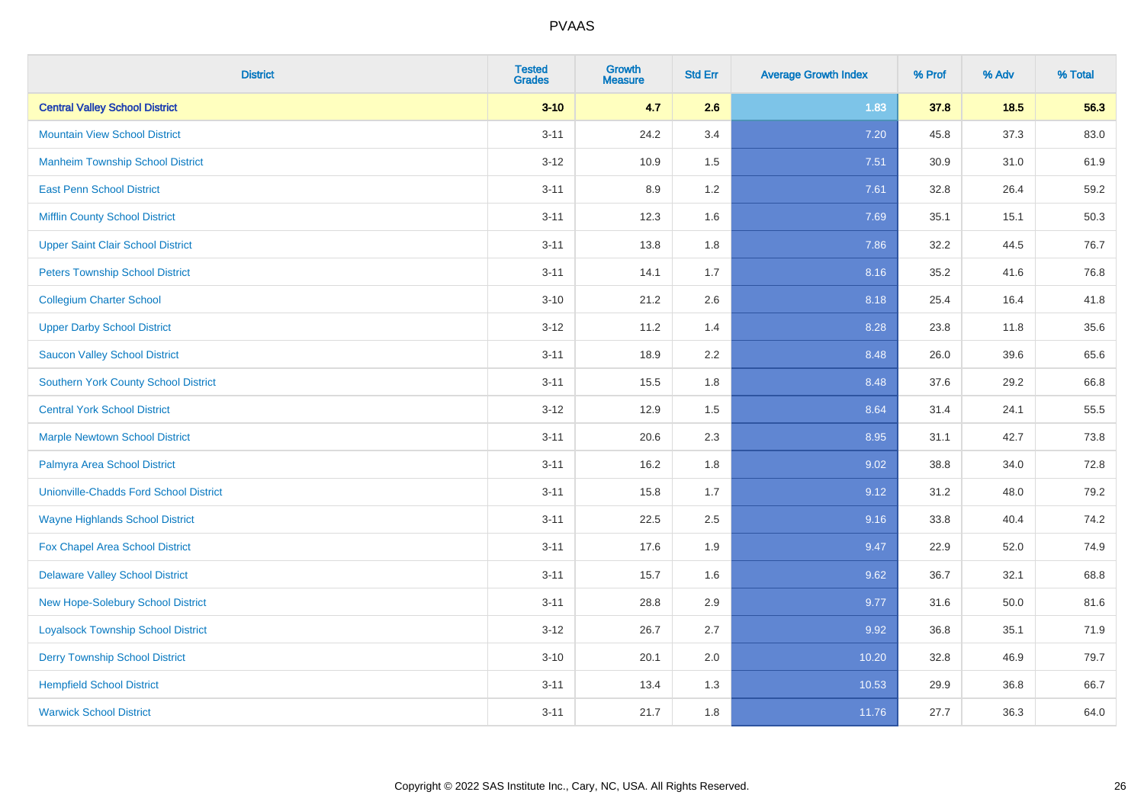| <b>District</b>                               | <b>Tested</b><br><b>Grades</b> | <b>Growth</b><br><b>Measure</b> | <b>Std Err</b> | <b>Average Growth Index</b> | % Prof | % Adv | % Total |
|-----------------------------------------------|--------------------------------|---------------------------------|----------------|-----------------------------|--------|-------|---------|
| <b>Central Valley School District</b>         | $3 - 10$                       | 4.7                             | 2.6            | 1.83                        | 37.8   | 18.5  | 56.3    |
| <b>Mountain View School District</b>          | $3 - 11$                       | 24.2                            | 3.4            | 7.20                        | 45.8   | 37.3  | 83.0    |
| <b>Manheim Township School District</b>       | $3 - 12$                       | 10.9                            | 1.5            | 7.51                        | 30.9   | 31.0  | 61.9    |
| <b>East Penn School District</b>              | $3 - 11$                       | 8.9                             | 1.2            | 7.61                        | 32.8   | 26.4  | 59.2    |
| <b>Mifflin County School District</b>         | $3 - 11$                       | 12.3                            | 1.6            | 7.69                        | 35.1   | 15.1  | 50.3    |
| <b>Upper Saint Clair School District</b>      | $3 - 11$                       | 13.8                            | 1.8            | 7.86                        | 32.2   | 44.5  | 76.7    |
| <b>Peters Township School District</b>        | $3 - 11$                       | 14.1                            | 1.7            | 8.16                        | 35.2   | 41.6  | 76.8    |
| <b>Collegium Charter School</b>               | $3 - 10$                       | 21.2                            | 2.6            | 8.18                        | 25.4   | 16.4  | 41.8    |
| <b>Upper Darby School District</b>            | $3 - 12$                       | 11.2                            | 1.4            | 8.28                        | 23.8   | 11.8  | 35.6    |
| <b>Saucon Valley School District</b>          | $3 - 11$                       | 18.9                            | 2.2            | 8.48                        | 26.0   | 39.6  | 65.6    |
| <b>Southern York County School District</b>   | $3 - 11$                       | 15.5                            | 1.8            | 8.48                        | 37.6   | 29.2  | 66.8    |
| <b>Central York School District</b>           | $3 - 12$                       | 12.9                            | 1.5            | 8.64                        | 31.4   | 24.1  | 55.5    |
| <b>Marple Newtown School District</b>         | $3 - 11$                       | 20.6                            | 2.3            | 8.95                        | 31.1   | 42.7  | 73.8    |
| Palmyra Area School District                  | $3 - 11$                       | 16.2                            | 1.8            | 9.02                        | 38.8   | 34.0  | 72.8    |
| <b>Unionville-Chadds Ford School District</b> | $3 - 11$                       | 15.8                            | 1.7            | 9.12                        | 31.2   | 48.0  | 79.2    |
| <b>Wayne Highlands School District</b>        | $3 - 11$                       | 22.5                            | 2.5            | 9.16                        | 33.8   | 40.4  | 74.2    |
| Fox Chapel Area School District               | $3 - 11$                       | 17.6                            | 1.9            | 9.47                        | 22.9   | 52.0  | 74.9    |
| <b>Delaware Valley School District</b>        | $3 - 11$                       | 15.7                            | 1.6            | 9.62                        | 36.7   | 32.1  | 68.8    |
| <b>New Hope-Solebury School District</b>      | $3 - 11$                       | 28.8                            | 2.9            | 9.77                        | 31.6   | 50.0  | 81.6    |
| <b>Loyalsock Township School District</b>     | $3-12$                         | 26.7                            | 2.7            | 9.92                        | 36.8   | 35.1  | 71.9    |
| <b>Derry Township School District</b>         | $3 - 10$                       | 20.1                            | 2.0            | 10.20                       | 32.8   | 46.9  | 79.7    |
| <b>Hempfield School District</b>              | $3 - 11$                       | 13.4                            | 1.3            | 10.53                       | 29.9   | 36.8  | 66.7    |
| <b>Warwick School District</b>                | $3 - 11$                       | 21.7                            | 1.8            | 11.76                       | 27.7   | 36.3  | 64.0    |